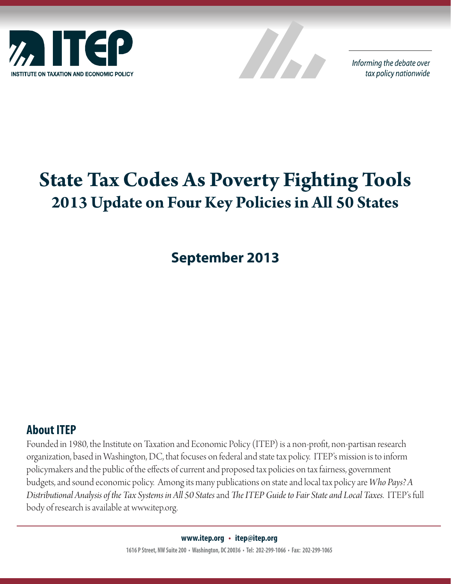



Informing the debate over tax policy nationwide

# **State Tax Codes As Poverty Fighting Tools 2013 Update on Four Key Policies in All 50 States**

**September 2013**

## **About ITEP**

Founded in 1980, the Institute on Taxation and Economic Policy (ITEP) is a non-profit, non-partisan research organization, based in Washington, DC, that focuses on federal and state tax policy. ITEP's mission is to inform policymakers and the public of the effects of current and proposed tax policies on tax fairness, government budgets, and sound economic policy. Among its many publications on state and local tax policy are *Who Pays? A Distributional Analysis of the Tax Systems in All 50 States* and *The ITEP Guide to Fair State and Local Taxes*. ITEP's full body of research is available at www.itep.org.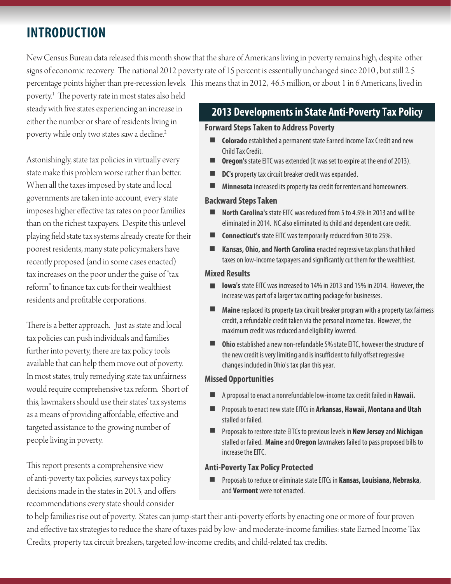## **INTRODUCTION**

New Census Bureau data released this month show that the share of Americans living in poverty remains high, despite other signs of economic recovery. The national 2012 poverty rate of 15 percent is essentially unchanged since 2010 , but still 2.5 percentage points higher than pre-recession levels. This means that in 2012, 46.5 million, or about 1 in 6 Americans, lived in

poverty.1 The poverty rate in most states also held steady with five states experiencing an increase in either the number or share of residents living in poverty while only two states saw a decline.<sup>2</sup>

Astonishingly, state tax policies in virtually every state make this problem worse rather than better. When all the taxes imposed by state and local governments are taken into account, every state imposes higher effective tax rates on poor families than on the richest taxpayers. Despite this unlevel playing field state tax systems already create for their poorest residents, many state policymakers have recently proposed (and in some cases enacted) tax increases on the poor under the guise of "tax reform" to finance tax cuts for their wealthiest residents and profitable corporations.

There is a better approach. Just as state and local tax policies can push individuals and families further into poverty, there are tax policy tools available that can help them move out of poverty. In most states, truly remedying state tax unfairness would require comprehensive tax reform. Short of this, lawmakers should use their states' tax systems as a means of providing affordable, effective and targeted assistance to the growing number of people living in poverty.

This report presents a comprehensive view of anti-poverty tax policies, surveys tax policy decisions made in the states in 2013, and offers recommendations every state should consider

### **2013 Developments in State Anti-Poverty Tax Policy**

#### **Forward Steps Taken to Address Poverty**

- n **Colorado** established a permanent state Earned Income Tax Credit and new Child Tax Credit.
- n **Oregon's** state EITC was extended (it was set to expire at the end of 2013).
- n **DC's** property tax circuit breaker credit was expanded.
- n **Minnesota** increased its property tax credit for renters and homeowners.

#### **Backward Steps Taken**

- **North Carolina's** state EITC was reduced from 5 to 4.5% in 2013 and will be eliminated in 2014. NC also eliminated its child and dependent care credit.
- n **Connecticut's** state EITC was temporarily reduced from 30 to 25%.
- n **Kansas, Ohio, and North Carolina** enacted regressive tax plans that hiked taxes on low-income taxpayers and significantly cut them for the wealthiest.

#### **Mixed Results**

- n **Iowa's** state EITC was increased to 14% in 2013 and 15% in 2014. However, the increase was part of a larger tax cutting package for businesses.
- n **Maine** replaced its property tax circuit breaker program with a property tax fairness credit, a refundable credit taken via the personal income tax. However, the maximum credit was reduced and eligibility lowered.
- n **Ohio** established a new non-refundable 5% state EITC, however the structure of the new credit is very limiting and is insufficient to fully offset regressive changes included in Ohio's tax plan this year.

#### **Missed Opportunities**

- n A proposal to enact a nonrefundable low-income tax credit failed in **Hawaii.**
- n Proposals to enact new state EITCs in **Arkansas, Hawaii, Montana and Utah**  stalled or failed.
- **n** Proposals to restore state EITCs to previous levels in **New Jersey** and Michigan stalled or failed. **Maine** and **Oregon** lawmakers failed to pass proposed bills to increase the EITC.

### **Anti-Poverty Tax Policy Protected**

n Proposals to reduce or eliminate state EITCs in **Kansas, Louisiana, Nebraska**, and **Vermont** were not enacted.

to help families rise out of poverty. States can jump-start their anti-poverty efforts by enacting one or more of four proven and effective tax strategies to reduce the share of taxes paid by low- and moderate-income families: state Earned Income Tax Credits, property tax circuit breakers, targeted low-income credits, and child-related tax credits.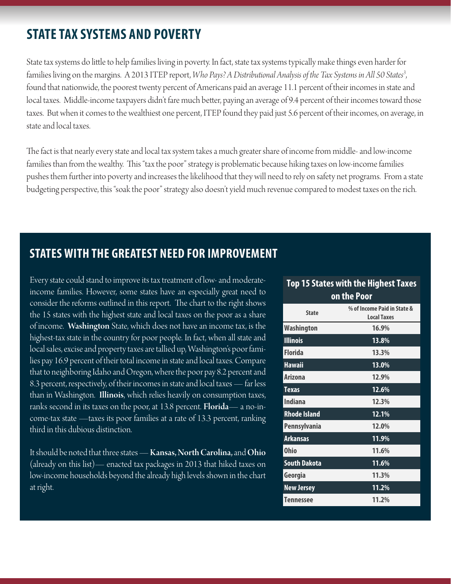## **STATE TAX SYSTEMS AND POVERTY**

State tax systems do little to help families living in poverty. In fact, state tax systems typically make things even harder for families living on the margins. A 2013 ITEP report, *Who Pays? A Distributional Analysis of the Tax Systems in All 50 States3* , found that nationwide, the poorest twenty percent of Americans paid an average 11.1 percent of their incomes in state and local taxes. Middle-income taxpayers didn't fare much better, paying an average of 9.4 percent of their incomes toward those taxes. But when it comes to the wealthiest one percent, ITEP found they paid just 5.6 percent of their incomes, on average, in state and local taxes.

The fact is that nearly every state and local tax system takes a much greater share of income from middle- and low-income families than from the wealthy. This "tax the poor" strategy is problematic because hiking taxes on low-income families pushes them further into poverty and increases the likelihood that they will need to rely on safety net programs. From a state budgeting perspective, this "soak the poor" strategy also doesn't yield much revenue compared to modest taxes on the rich.

## **STATES WITH THE GREATEST NEED FOR IMPROVEMENT**

Every state could stand to improve its tax treatment of low- and moderateincome families. However, some states have an especially great need to consider the reforms outlined in this report. The chart to the right shows the 15 states with the highest state and local taxes on the poor as a share of income. Washington State, which does not have an income tax, is the highest-tax state in the country for poor people. In fact, when all state and local sales, excise and property taxes are tallied up, Washington's poor families pay 16.9 percent of their total income in state and local taxes. Compare that to neighboring Idaho and Oregon, where the poor pay 8.2 percent and 8.3 percent, respectively, of their incomes in state and local taxes — far less than in Washington. Illinois, which relies heavily on consumption taxes, ranks second in its taxes on the poor, at 13.8 percent. **Florida**— a no-income-tax state —taxes its poor families at a rate of 13.3 percent, ranking third in this dubious distinction.

It should be noted that three states — Kansas, North Carolina, and Ohio (already on this list)— enacted tax packages in 2013 that hiked taxes on low-income households beyond the already high levels shown in the chart at right.

#### **Top 15 States with the Highest Taxes on the Poor**

| <b>State</b>        | % of Income Paid in State &<br><b>Local Taxes</b> |
|---------------------|---------------------------------------------------|
| Washington          | 16.9%                                             |
| <b>Illinois</b>     | 13.8%                                             |
| <b>Florida</b>      | 13.3%                                             |
| <b>Hawaii</b>       | 13.0%                                             |
| <b>Arizona</b>      | 12.9%                                             |
| <b>Texas</b>        | 12.6%                                             |
| <b>Indiana</b>      | 12.3%                                             |
| <b>Rhode Island</b> | 12.1%                                             |
| Pennsylvania        | 12.0%                                             |
| <b>Arkansas</b>     | 11.9%                                             |
| <b>Ohio</b>         | 11.6%                                             |
| <b>South Dakota</b> | 11.6%                                             |
| Georgia             | 11.3%                                             |
| <b>New Jersey</b>   | 11.2%                                             |
| <b>Tennessee</b>    | 11.2%                                             |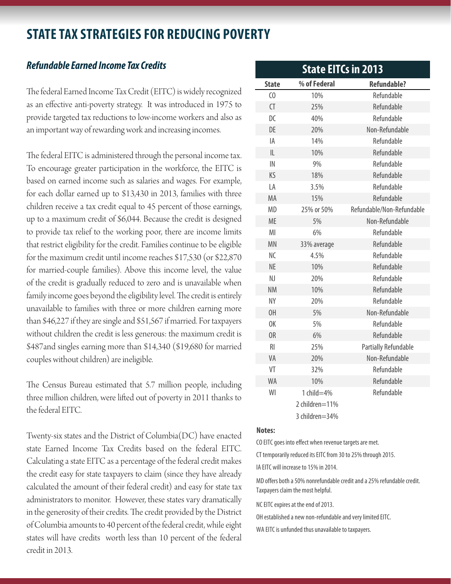## **STATE TAX STRATEGIES FOR REDUCING POVERTY**

### *Refundable Earned Income Tax Credits*

The federal Earned Income Tax Credit (EITC) is widely recognized as an effective anti-poverty strategy. It was introduced in 1975 to provide targeted tax reductions to low-income workers and also as an important way of rewarding work and increasing incomes.

The federal EITC is administered through the personal income tax. To encourage greater participation in the workforce, the EITC is based on earned income such as salaries and wages. For example, for each dollar earned up to \$13,430 in 2013, families with three children receive a tax credit equal to 45 percent of those earnings, up to a maximum credit of \$6,044. Because the credit is designed to provide tax relief to the working poor, there are income limits that restrict eligibility for the credit. Families continue to be eligible for the maximum credit until income reaches \$17,530 (or \$22,870 for married-couple families). Above this income level, the value of the credit is gradually reduced to zero and is unavailable when family income goes beyond the eligibility level. The credit is entirely unavailable to families with three or more children earning more than \$46,227 if they are single and \$51,567 if married. For taxpayers without children the credit is less generous: the maximum credit is \$487and singles earning more than \$14,340 (\$19,680 for married couples without children) are ineligible.

The Census Bureau estimated that 5.7 million people, including three million children, were lifted out of poverty in 2011 thanks to the federal EITC.

Twenty-six states and the District of Columbia(DC) have enacted state Earned Income Tax Credits based on the federal EITC. Calculating a state EITC as a percentage of the federal credit makes the credit easy for state taxpayers to claim (since they have already calculated the amount of their federal credit) and easy for state tax administrators to monitor. However, these states vary dramatically in the generosity of their credits. The credit provided by the District of Columbia amounts to 40 percent of the federal credit, while eight states will have credits worth less than 10 percent of the federal credit in 2013.

| <b>State EITCs in 2013</b> |                |                             |  |  |
|----------------------------|----------------|-----------------------------|--|--|
| <b>State</b>               | % of Federal   | <b>Refundable?</b>          |  |  |
| $\epsilon$                 | 10%            | Refundable                  |  |  |
| $\overline{C}$             | 25%            | Refundable                  |  |  |
| DC                         | 40%            | Refundable                  |  |  |
| DE                         | 20%            | Non-Refundable              |  |  |
| IA                         | 14%            | Refundable                  |  |  |
| L                          | 10%            | Refundable                  |  |  |
| IN                         | 9%             | Refundable                  |  |  |
| KS                         | 18%            | Refundable                  |  |  |
| LA                         | 3.5%           | Refundable                  |  |  |
| MA                         | 15%            | Refundable                  |  |  |
| <b>MD</b>                  | 25% or 50%     | Refundable/Non-Refundable   |  |  |
| <b>ME</b>                  | 5%             | Non-Refundable              |  |  |
| MI                         | 6%             | Refundable                  |  |  |
| <b>MN</b>                  | 33% average    | Refundable                  |  |  |
| NC                         | 4.5%           | Refundable                  |  |  |
| <b>NE</b>                  | 10%            | Refundable                  |  |  |
| NJ                         | 20%            | Refundable                  |  |  |
| <b>NM</b>                  | 10%            | Refundable                  |  |  |
| <b>NY</b>                  | 20%            | Refundable                  |  |  |
| OH                         | 5%             | Non-Refundable              |  |  |
| 0K                         | 5%             | Refundable                  |  |  |
| 0R                         | 6%             | Refundable                  |  |  |
| R <sub>l</sub>             | 25%            | <b>Partially Refundable</b> |  |  |
| VA                         | 20%            | Non-Refundable              |  |  |
| VT                         | 32%            | Refundable                  |  |  |
| <b>WA</b>                  | 10%            | Refundable                  |  |  |
| WI                         | 1 $child=4%$   | Refundable                  |  |  |
|                            | 2 children=11% |                             |  |  |
|                            | 3 children=34% |                             |  |  |

#### **Notes:**

CO EITC goes into effect when revenue targets are met.

CT temporarily reduced its EITC from 30 to 25% through 2015.

IA EITC will increase to 15% in 2014.

MD offers both a 50% nonrefundable credit and a 25% refundable credit. Taxpayers claim the most helpful.

NC EITC expires at the end of 2013.

OH established a new non-refundable and very limited EITC.

WA EITC is unfunded thus unavailable to taxpayers.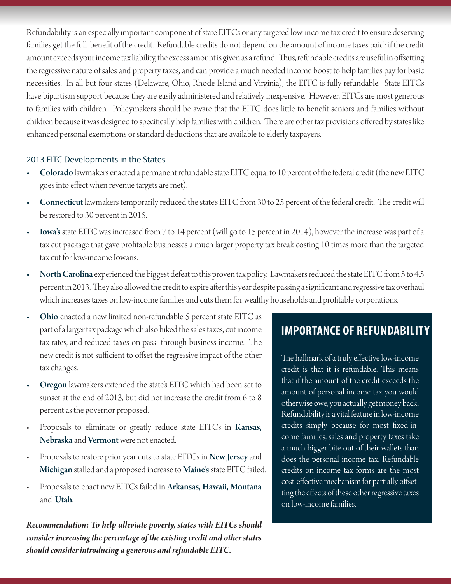Refundability is an especially important component of state EITCs or any targeted low-income tax credit to ensure deserving families get the full benefit of the credit. Refundable credits do not depend on the amount of income taxes paid: if the credit amount exceeds your income tax liability, the excess amount is given as a refund. Thus, refundable credits are useful in offsetting the regressive nature of sales and property taxes, and can provide a much needed income boost to help families pay for basic necessities. In all but four states (Delaware, Ohio, Rhode Island and Virginia), the EITC is fully refundable. State EITCs have bipartisan support because they are easily administered and relatively inexpensive. However, EITCs are most generous to families with children. Policymakers should be aware that the EITC does little to benefit seniors and families without children because it was designed to specifically help families with children. There are other tax provisions offered by states like enhanced personal exemptions or standard deductions that are available to elderly taxpayers.

#### 2013 EITC Developments in the States

- Colorado lawmakers enacted a permanent refundable state EITC equal to 10 percent of the federal credit (the new EITC goes into effect when revenue targets are met).
- Connecticut lawmakers temporarily reduced the state's EITC from 30 to 25 percent of the federal credit. The credit will be restored to 30 percent in 2015.
- Iowa's state EITC was increased from 7 to 14 percent (will go to 15 percent in 2014), however the increase was part of a tax cut package that gave profitable businesses a much larger property tax break costing 10 times more than the targeted tax cut for low-income Iowans.
- North Carolina experienced the biggest defeat to this proven tax policy. Lawmakers reduced the state EITC from 5 to 4.5 percent in 2013. They also allowed the credit to expire after this year despite passing a significant and regressive tax overhaul which increases taxes on low-income families and cuts them for wealthy households and profitable corporations.
- Ohio enacted a new limited non-refundable 5 percent state EITC as part of a larger tax package which also hiked the sales taxes, cut income tax rates, and reduced taxes on pass- through business income. The new credit is not sufficient to offset the regressive impact of the other tax changes.
- Oregon lawmakers extended the state's EITC which had been set to sunset at the end of 2013, but did not increase the credit from 6 to 8 percent as the governor proposed.
- Proposals to eliminate or greatly reduce state EITCs in Kansas, Nebraska and Vermont were not enacted.
- Proposals to restore prior year cuts to state EITCs in New Jersey and Michigan stalled and a proposed increase to Maine's state EITC failed.
- Proposals to enact new EITCs failed in Arkansas, Hawaii, Montana and Utah.

*Recommendation: To help alleviate poverty, states with EITCs should consider increasing the percentage of the existing credit and other states should consider introducing a generous and refundable EITC.*

## **IMPORTANCE OF REFUNDABILITY**

The hallmark of a truly effective low-income credit is that it is refundable. This means that if the amount of the credit exceeds the amount of personal income tax you would otherwise owe, you actually get money back. Refundability is a vital feature in low-income credits simply because for most fixed-income families, sales and property taxes take a much bigger bite out of their wallets than does the personal income tax. Refundable credits on income tax forms are the most cost-effective mechanism for partially offsetting the effects of these other regressive taxes on low-income families.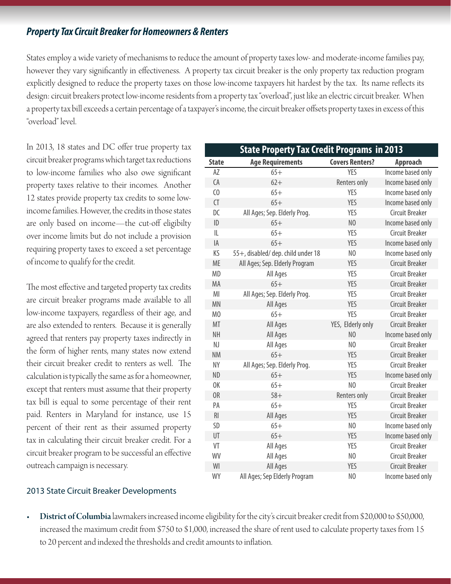### *Property Tax Circuit Breaker for Homeowners & Renters*

States employ a wide variety of mechanisms to reduce the amount of property taxes low- and moderate-income families pay, however they vary significantly in effectiveness. A property tax circuit breaker is the only property tax reduction program explicitly designed to reduce the property taxes on those low-income taxpayers hit hardest by the tax. Its name reflects its design: circuit breakers protect low-income residents from a property tax "overload", just like an electric circuit breaker. When a property tax bill exceeds a certain percentage of a taxpayer's income, the circuit breaker offsets property taxes in excess of this "overload" level.

In 2013, 18 states and DC offer true property tax circuit breaker programs which target tax reductions to low-income families who also owe significant property taxes relative to their incomes. Another 12 states provide property tax credits to some lowincome families. However, the credits in those states are only based on income—the cut-off eligibilty over income limits but do not include a provision requiring property taxes to exceed a set percentage of income to qualify for the credit.

The most effective and targeted property tax credits are circuit breaker programs made available to all low-income taxpayers, regardless of their age, and are also extended to renters. Because it is generally agreed that renters pay property taxes indirectly in the form of higher rents, many states now extend their circuit breaker credit to renters as well. The calculation is typically the same as for a homeowner, except that renters must assume that their property tax bill is equal to some percentage of their rent paid. Renters in Maryland for instance, use 15 percent of their rent as their assumed property tax in calculating their circuit breaker credit. For a circuit breaker program to be successful an effective outreach campaign is necessary.

| <b>State Property Tax Credit Programs in 2013</b> |                                    |                        |                        |  |
|---------------------------------------------------|------------------------------------|------------------------|------------------------|--|
| <b>State</b>                                      | <b>Age Requirements</b>            | <b>Covers Renters?</b> | <b>Approach</b>        |  |
| AZ                                                | $65+$                              | <b>YES</b>             | Income based only      |  |
| CA                                                | $62+$                              | Renters only           | Income based only      |  |
| $\epsilon$                                        | $65+$                              | <b>YES</b>             | Income based only      |  |
| CT                                                | $65+$                              | <b>YES</b>             | Income based only      |  |
| DC                                                | All Ages; Sep. Elderly Prog.       | <b>YES</b>             | <b>Circuit Breaker</b> |  |
| ID                                                | $65+$                              | N <sub>0</sub>         | Income based only      |  |
| IL                                                | $65+$                              | YES                    | Circuit Breaker        |  |
| IA                                                | $65+$                              | <b>YES</b>             | Income based only      |  |
| KS                                                | 55+, disabled/ dep. child under 18 | N <sub>0</sub>         | Income based only      |  |
| <b>ME</b>                                         | All Ages; Sep. Elderly Program     | YES                    | <b>Circuit Breaker</b> |  |
| <b>MD</b>                                         | All Ages                           | <b>YES</b>             | Circuit Breaker        |  |
| MA                                                | $65+$                              | <b>YES</b>             | <b>Circuit Breaker</b> |  |
| MI                                                | All Ages; Sep. Elderly Prog.       | <b>YES</b>             | <b>Circuit Breaker</b> |  |
| MN                                                | All Ages                           | YES                    | <b>Circuit Breaker</b> |  |
| M <sub>0</sub>                                    | $65+$                              | YES                    | <b>Circuit Breaker</b> |  |
| MT                                                | All Ages                           | YES, Elderly only      | <b>Circuit Breaker</b> |  |
| <b>NH</b>                                         | All Ages                           | N <sub>0</sub>         | Income based only      |  |
| NJ                                                | All Ages                           | N <sub>0</sub>         | <b>Circuit Breaker</b> |  |
| <b>NM</b>                                         | $65+$                              | <b>YES</b>             | <b>Circuit Breaker</b> |  |
| <b>NY</b>                                         | All Ages; Sep. Elderly Prog.       | YES                    | Circuit Breaker        |  |
| <b>ND</b>                                         | $65+$                              | YES                    | Income based only      |  |
| 0K                                                | $65+$                              | N <sub>0</sub>         | <b>Circuit Breaker</b> |  |
| OR                                                | $58+$                              | Renters only           | <b>Circuit Breaker</b> |  |
| PA                                                | $65+$                              | YES                    | <b>Circuit Breaker</b> |  |
| <b>RI</b>                                         | All Ages                           | YES                    | <b>Circuit Breaker</b> |  |
| SD                                                | $65+$                              | N <sub>0</sub>         | Income based only      |  |
| UT                                                | $65+$                              | <b>YES</b>             | Income based only      |  |
| VT                                                | All Ages                           | YES                    | <b>Circuit Breaker</b> |  |
| WV                                                | All Ages                           | N <sub>0</sub>         | <b>Circuit Breaker</b> |  |
| WI                                                | All Ages                           | YES                    | <b>Circuit Breaker</b> |  |
| <b>WY</b>                                         | All Ages; Sep Elderly Program      | N <sub>0</sub>         | Income based only      |  |

#### 2013 State Circuit Breaker Developments

District of Columbia lawmakers increased income eligibility for the city's circuit breaker credit from \$20,000 to \$50,000, increased the maximum credit from \$750 to \$1,000, increased the share of rent used to calculate property taxes from 15 to 20 percent and indexed the thresholds and credit amounts to inflation.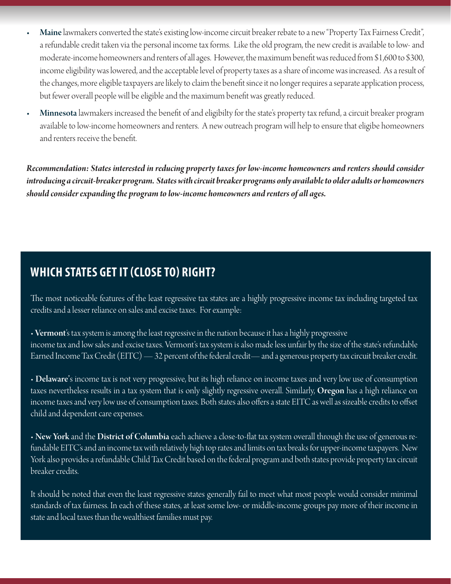- Maine lawmakers converted the state's existing low-income circuit breaker rebate to a new "Property Tax Fairness Credit", a refundable credit taken via the personal income tax forms. Like the old program, the new credit is available to low- and moderate-income homeowners and renters of all ages. However, the maximum benefit was reduced from \$1,600 to \$300, income eligibility was lowered, and the acceptable level of property taxes as a share of income was increased. As a result of the changes, more eligible taxpayers are likely to claim the benefit since it no longer requires a separate application process, but fewer overall people will be eligible and the maximum benefit was greatly reduced.
- Minnesota lawmakers increased the benefit of and eligibilty for the state's property tax refund, a circuit breaker program available to low-income homeowners and renters. A new outreach program will help to ensure that eligibe homeowners and renters receive the benefit.

*Recommendation: States interested in reducing property taxes for low-income homeowners and renters should consider introducing a circuit-breaker program. States with circuit breaker programs only available to older adults or homeowners should consider expanding the program to low-income homeowners and renters of all ages.*

## **WHICH STATES GET IT (CLOSE TO) RIGHT?**

The most noticeable features of the least regressive tax states are a highly progressive income tax including targeted tax credits and a lesser reliance on sales and excise taxes. For example:

• **Vermont**'s tax system is among the least regressive in the nation because it has a highly progressive income tax and low sales and excise taxes. Vermont's tax system is also made less unfair by the size of the state's refundable Earned Income Tax Credit (EITC) — 32 percent of the federal credit— and a generous property tax circuit breaker credit.

• Delaware's income tax is not very progressive, but its high reliance on income taxes and very low use of consumption taxes nevertheless results in a tax system that is only slightly regressive overall. Similarly, **Oregon** has a high reliance on income taxes and very low use of consumption taxes. Both states also offers a state EITC as well as sizeable credits to offset child and dependent care expenses.

• New York and the District of Columbia each achieve a close-to-flat tax system overall through the use of generous refundable EITC's and an income tax with relatively high top rates and limits on tax breaks for upper-income taxpayers. New York also provides a refundable Child Tax Credit based on the federal program and both states provide property tax circuit breaker credits.

It should be noted that even the least regressive states generally fail to meet what most people would consider minimal standards of tax fairness. In each of these states, at least some low- or middle-income groups pay more of their income in state and local taxes than the wealthiest families must pay.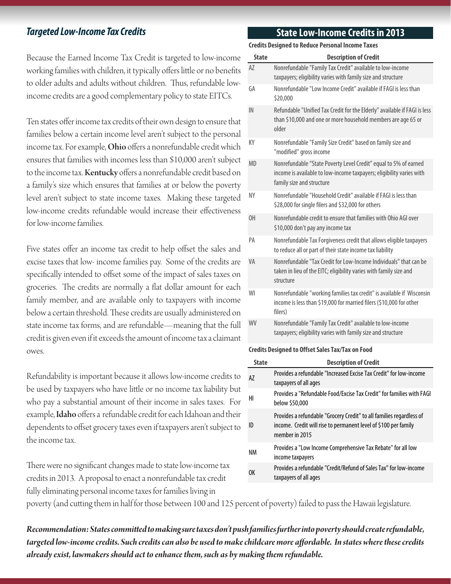### *Targeted Low-Income Tax Credits*

Because the Earned Income Tax Credit is targeted to low-income working families with children, it typically offers little or no benefits to older adults and adults without children. Thus, refundable lowincome credits are a good complementary policy to state EITCs.

Ten states offer income tax credits of their own design to ensure that families below a certain income level aren't subject to the personal income tax. For example, Ohio offers a nonrefundable credit which ensures that families with incomes less than \$10,000 aren't subject to the income tax. Kentucky offers a nonrefundable credit based on a family's size which ensures that families at or below the poverty level aren't subject to state income taxes. Making these targeted low-income credits refundable would increase their effectiveness for low-income families.

Five states offer an income tax credit to help offset the sales and excise taxes that low- income families pay. Some of the credits are specifically intended to offset some of the impact of sales taxes on groceries. The credits are normally a flat dollar amount for each family member, and are available only to taxpayers with income below a certain threshold. These credits are usually administered on state income tax forms, and are refundable—meaning that the full credit is given even if it exceeds the amount of income tax a claimant owes.

Refundability is important because it allows low-income credits to be used by taxpayers who have little or no income tax liability but who pay a substantial amount of their income in sales taxes. For example, Idaho offers a refundable credit for each Idahoan and their dependents to offset grocery taxes even if taxpayers aren't subject to the income tax.

There were no significant changes made to state low-income tax credits in 2013. A proposal to enact a nonrefundable tax credit fully eliminating personal income taxes for families living in

### **State Low-Income Credits in 2013**

**Credits Designed to Reduce Personal Income Taxes**

| <b>State</b> | <b>Description of Credit</b>                                                                                                                                          |
|--------------|-----------------------------------------------------------------------------------------------------------------------------------------------------------------------|
| A7           | Nonrefundable "Family Tax Credit" available to low-income                                                                                                             |
|              | taxpayers; eligibility varies with family size and structure                                                                                                          |
| GA           | Nonrefundable "Low Income Credit" available if FAGI is less than<br>\$20,000                                                                                          |
| IN           | Refundable "Unified Tax Credit for the Elderly" available if FAGI is less<br>than \$10,000 and one or more household members are age 65 or<br>older                   |
| ΚY           | Nonrefundable "Family Size Credit" based on family size and<br>"modified" gross income                                                                                |
| <b>MD</b>    | Nonrefundable "State Poverty Level Credit" equal to 5% of earned<br>income is available to low-income taxpayers; eligibility varies with<br>family size and structure |
| NΥ           | Nonrefundable "Household Credit" available if FAGI is less than<br>\$28,000 for single filers and \$32,000 for others                                                 |
| 0H           | Nonrefundable credit to ensure that families with Ohio AGI over<br>\$10,000 don't pay any income tax                                                                  |
| PA           | Nonrefundable Tax Forgiveness credit that allows eligible taxpayers<br>to reduce all or part of their state income tax liability                                      |
| VA           | Nonrefundable "Tax Credit for Low-Income Individuals" that can be<br>taken in lieu of the EITC; eligibility varies with family size and<br>structure                  |
| WI           | Nonrefundable "working families tax credit" is available if Wisconsin<br>income is less than \$19,000 for married filers (\$10,000 for other<br>filers)               |
| <b>WV</b>    | Nonrefundable "Family Tax Credit" available to low-income<br>taxpayers; eligibility varies with family size and structure                                             |
|              |                                                                                                                                                                       |

#### **Credits Designed to Offset Sales Tax/Tax on Food**

| State     | <b>Description of Credit</b>                                                                                                                              |
|-----------|-----------------------------------------------------------------------------------------------------------------------------------------------------------|
| AZ        | Provides a refundable "Increased Excise Tax Credit" for low-income<br>taxpayers of all ages                                                               |
| HI        | Provides a "Refundable Food/Excise Tax Credit" for families with FAGI<br>below \$50,000                                                                   |
| ID        | Provides a refundable "Grocery Credit" to all families regardless of<br>income. Credit will rise to permanent level of \$100 per family<br>member in 2015 |
| <b>NM</b> | Provides a "Low Income Comprehensive Tax Rebate" for all low<br>income taxpayers                                                                          |
| 0K        | Provides a refundable "Credit/Refund of Sales Tax" for low-income<br>taxpayers of all ages                                                                |

poverty (and cutting them in half for those between 100 and 125 percent of poverty) failed to pass the Hawaii legislature.

*Recommendation: States committed to making sure taxes don't push families further into poverty should create refundable, targeted low-income credits. Such credits can also be used to make childcare more affordable. In states where these credits already exist, lawmakers should act to enhance them, such as by making them refundable.*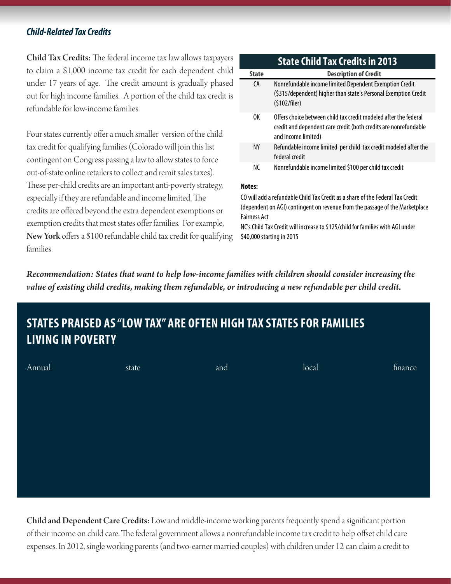### *Child-Related Tax Credits*

Child Tax Credits: The federal income tax law allows taxpayers to claim a \$1,000 income tax credit for each dependent child under 17 years of age. The credit amount is gradually phased out for high income families. A portion of the child tax credit is refundable for low-income families.

Four states currently offer a much smaller version of the child tax credit for qualifying families (Colorado will join this list contingent on Congress passing a law to allow states to force out-of-state online retailers to collect and remit sales taxes). These per-child credits are an important anti-poverty strategy, especially if they are refundable and income limited. The credits are offered beyond the extra dependent exemptions or exemption credits that most states offer families. For example, New York offers a \$100 refundable child tax credit for qualifying families.

### **State Description of Credit** CA Nonrefundable income limited Dependent Exemption Credit (\$315/dependent) higher than state's Personal Exemption Credit (\$102/filer) OK Offers choice between child tax credit modeled after the federal credit and dependent care credit (both credits are nonrefundable and income limited) NY Refundable income limited per child tax credit modeled after the federal credit NC Nonrefundable income limited \$100 per child tax credit **State Child Tax Credits in 2013**

#### **Notes:**

CO will add a refundable Child Tax Credit as a share of the Federal Tax Credit (dependent on AGI) contingent on revenue from the passage of the Marketplace Fairness Act

NC's Child Tax Credit will increase to \$125/child for families with AGI under \$40,000 starting in 2015

*Recommendation: States that want to help low-income families with children should consider increasing the value of existing child credits, making them refundable, or introducing a new refundable per child credit.*

## **STATES PRAISED AS "LOW TAX" ARE OFTEN HIGH TAX STATES FOR FAMILIES LIVING IN POVERTY**

| Annual | state | and | local | finance |
|--------|-------|-----|-------|---------|
|        |       |     |       |         |
|        |       |     |       |         |
|        |       |     |       |         |
|        |       |     |       |         |
|        |       |     |       |         |
|        |       |     |       |         |
|        |       |     |       |         |

Child and Dependent Care Credits: Low and middle-income working parents frequently spend a significant portion of their income on child care. The federal government allows a nonrefundable income tax credit to help offset child care expenses. In 2012, single working parents (and two-earner married couples) with children under 12 can claim a credit to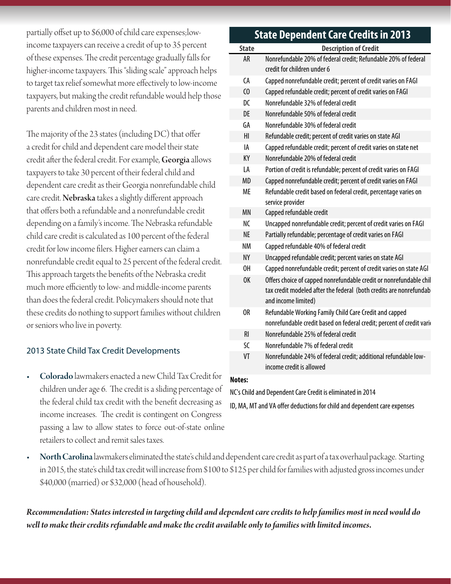partially offset up to \$6,000 of child care expenses;lowincome taxpayers can receive a credit of up to 35 percent of these expenses. The credit percentage gradually falls for higher-income taxpayers. This "sliding scale" approach helps to target tax relief somewhat more effectively to low-income taxpayers, but making the credit refundable would help those parents and children most in need.

The majority of the 23 states (including DC) that offer a credit for child and dependent care model their state credit after the federal credit. For example, Georgia allows taxpayers to take 30 percent of their federal child and dependent care credit as their Georgia nonrefundable child care credit. Nebraska takes a slightly different approach that offers both a refundable and a nonrefundable credit depending on a family's income. The Nebraska refundable child care credit is calculated as 100 percent of the federal credit for low income filers. Higher earners can claim a nonrefundable credit equal to 25 percent of the federal credit. This approach targets the benefits of the Nebraska credit much more efficiently to low- and middle-income parents than does the federal credit. Policymakers should note that these credits do nothing to support families without children or seniors who live in poverty.

### 2013 State Child Tax Credit Developments

Colorado lawmakers enacted a new Child Tax Credit for children under age 6. The credit is a sliding percentage of the federal child tax credit with the benefit decreasing as income increases. The credit is contingent on Congress passing a law to allow states to force out-of-state online retailers to collect and remit sales taxes.

## **State Dependent Care Credits in 2013**

| <b>State</b>   | <b>Description of Credit</b>                                                                                                                                    |
|----------------|-----------------------------------------------------------------------------------------------------------------------------------------------------------------|
| <b>AR</b>      | Nonrefundable 20% of federal credit; Refundable 20% of federal<br>credit for children under 6                                                                   |
| СA             | Capped nonrefundable credit; percent of credit varies on FAGI                                                                                                   |
| C <sub>0</sub> | Capped refundable credit; percent of credit varies on FAGI                                                                                                      |
| DC             | Nonrefundable 32% of federal credit                                                                                                                             |
| DE             | Nonrefundable 50% of federal credit                                                                                                                             |
| GA             | Nonrefundable 30% of federal credit                                                                                                                             |
| HI             | Refundable credit; percent of credit varies on state AGI                                                                                                        |
| IA             | Capped refundable credit; percent of credit varies on state net                                                                                                 |
| KY             | Nonrefundable 20% of federal credit                                                                                                                             |
| LA             | Portion of credit is refundable; percent of credit varies on FAGI                                                                                               |
| <b>MD</b>      | Capped nonrefundable credit; percent of credit varies on FAGI                                                                                                   |
| <b>ME</b>      | Refundable credit based on federal credit, percentage varies on<br>service provider                                                                             |
| <b>MN</b>      | Capped refundable credit                                                                                                                                        |
| NC             | Uncapped nonrefundable credit; percent of credit varies on FAGI                                                                                                 |
| <b>NE</b>      | Partially refundable; percentage of credit varies on FAGI                                                                                                       |
| <b>NM</b>      | Capped refundable 40% of federal credit                                                                                                                         |
| <b>NY</b>      | Uncapped refundable credit; percent varies on state AGI                                                                                                         |
| OH             | Capped nonrefundable credit; percent of credit varies on state AGI                                                                                              |
| 0K             | Offers choice of capped nonrefundable credit or nonrefundable chil<br>tax credit modeled after the federal (both credits are nonrefundab<br>and income limited) |
| OR             | Refundable Working Family Child Care Credit and capped<br>nonrefundable credit based on federal credit; percent of credit varie                                 |
| R <sub>l</sub> | Nonrefundable 25% of federal credit                                                                                                                             |
| SC             | Nonrefundable 7% of federal credit                                                                                                                              |
| VT             | Nonrefundable 24% of federal credit; additional refundable low-<br>income credit is allowed                                                                     |

#### **Notes:**

NC's Child and Dependent Care Credit is eliminated in 2014

ID, MA, MT and VA offer deductions for child and dependent care expenses

North Carolina lawmakers eliminated the state's child and dependent care credit as part of a tax overhaul package. Starting in 2015, the state's child tax credit will increase from \$100 to \$125 per child for families with adjusted gross incomes under \$40,000 (married) or \$32,000 (head of household).

*Recommendation: States interested in targeting child and dependent care credits to help families most in need would do well to make their credits refundable and make the credit available only to families with limited incomes.*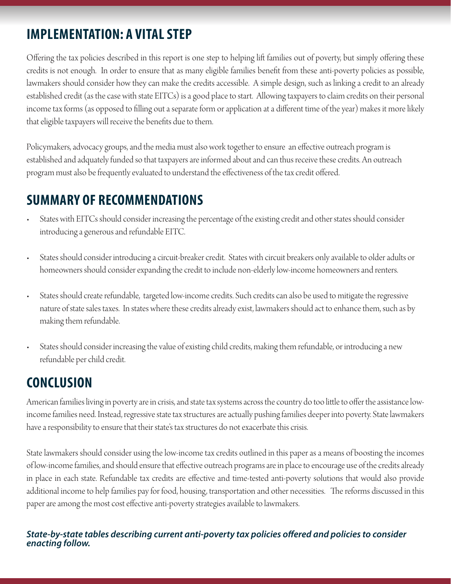## **IMPLEMENTATION: A VITAL STEP**

Offering the tax policies described in this report is one step to helping lift families out of poverty, but simply offering these credits is not enough. In order to ensure that as many eligible families benefit from these anti-poverty policies as possible, lawmakers should consider how they can make the credits accessible. A simple design, such as linking a credit to an already established credit (as the case with state EITCs) is a good place to start. Allowing taxpayers to claim credits on their personal income tax forms (as opposed to filling out a separate form or application at a different time of the year) makes it more likely that eligible taxpayers will receive the benefits due to them.

Policymakers, advocacy groups, and the media must also work together to ensure an effective outreach program is established and adquately funded so that taxpayers are informed about and can thus receive these credits. An outreach program must also be frequently evaluated to understand the effectiveness of the tax credit offered.

## **SUMMARY OF RECOMMENDATIONS**

- States with EITCs should consider increasing the percentage of the existing credit and other states should consider introducing a generous and refundable EITC.
- States should consider introducing a circuit-breaker credit. States with circuit breakers only available to older adults or homeowners should consider expanding the credit to include non-elderly low-income homeowners and renters.
- States should create refundable, targeted low-income credits. Such credits can also be used to mitigate the regressive nature of state sales taxes. In states where these credits already exist, lawmakers should act to enhance them, such as by making them refundable.
- • States should consider increasing the value of existing child credits, making them refundable, or introducing a new refundable per child credit.

## **CONCLUSION**

American families living in poverty are in crisis, and state tax systems across the country do too little to offer the assistance lowincome families need. Instead, regressive state tax structures are actually pushing families deeper into poverty. State lawmakers have a responsibility to ensure that their state's tax structures do not exacerbate this crisis.

State lawmakers should consider using the low-income tax credits outlined in this paper as a means of boosting the incomes of low-income families, and should ensure that effective outreach programs are in place to encourage use of the credits already in place in each state. Refundable tax credits are effective and time-tested anti-poverty solutions that would also provide additional income to help families pay for food, housing, transportation and other necessities. The reforms discussed in this paper are among the most cost effective anti-poverty strategies available to lawmakers.

### *State-by-state tables describing current anti-poverty tax policies offered and policies to consider enacting follow.*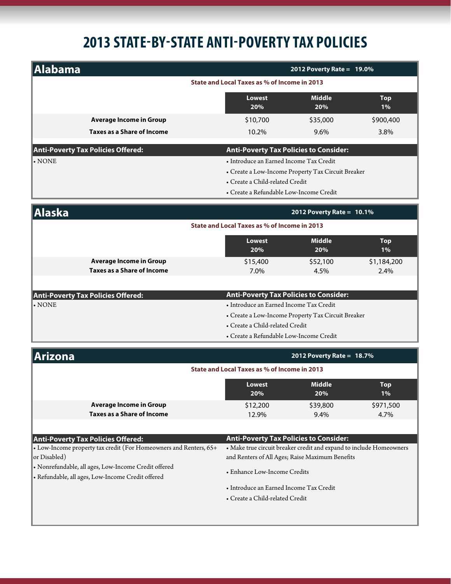# **2013 STATE-BY-STATE ANTI-POVERTY TAX POLICIES**

| Alabama                                                              |                                                                     | 2012 Poverty Rate = $19.0\%$                       |                     |  |
|----------------------------------------------------------------------|---------------------------------------------------------------------|----------------------------------------------------|---------------------|--|
| State and Local Taxes as % of Income in 2013                         |                                                                     |                                                    |                     |  |
|                                                                      | <b>Lowest</b><br>20%                                                | <b>Middle</b><br>20%                               | <b>Top</b><br>1%    |  |
| <b>Average Income in Group</b>                                       | \$10,700                                                            | \$35,000                                           | \$900,400           |  |
| <b>Taxes as a Share of Income</b>                                    | 10.2%                                                               | 9.6%                                               | 3.8%                |  |
| <b>Anti-Poverty Tax Policies Offered:</b>                            | <b>Anti-Poverty Tax Policies to Consider:</b>                       |                                                    |                     |  |
| $\boldsymbol{\cdot}$ NONE                                            | • Introduce an Earned Income Tax Credit                             |                                                    |                     |  |
|                                                                      | • Create a Low-Income Property Tax Circuit Breaker                  |                                                    |                     |  |
|                                                                      | • Create a Child-related Credit                                     |                                                    |                     |  |
|                                                                      | • Create a Refundable Low-Income Credit                             |                                                    |                     |  |
| <b>Alaska</b>                                                        |                                                                     | 2012 Poverty Rate = $10.1\%$                       |                     |  |
|                                                                      | State and Local Taxes as % of Income in 2013                        |                                                    |                     |  |
|                                                                      | Lowest<br>20%                                                       | <b>Middle</b><br>20%                               | <b>Top</b><br>1%    |  |
| <b>Average Income in Group</b>                                       | \$15,400                                                            | \$52,100                                           | \$1,184,200         |  |
| <b>Taxes as a Share of Income</b>                                    | 7.0%                                                                | 4.5%                                               | 2.4%                |  |
|                                                                      |                                                                     |                                                    |                     |  |
| <b>Anti-Poverty Tax Policies Offered:</b>                            | <b>Anti-Poverty Tax Policies to Consider:</b>                       |                                                    |                     |  |
| $\boldsymbol{\cdot}$ NONE                                            |                                                                     | • Introduce an Earned Income Tax Credit            |                     |  |
|                                                                      |                                                                     | • Create a Low-Income Property Tax Circuit Breaker |                     |  |
|                                                                      | • Create a Child-related Credit                                     |                                                    |                     |  |
|                                                                      | • Create a Refundable Low-Income Credit                             |                                                    |                     |  |
| <b>Arizona</b>                                                       |                                                                     | 2012 Poverty Rate = $18.7\%$                       |                     |  |
|                                                                      | State and Local Taxes as % of Income in 2013                        |                                                    |                     |  |
|                                                                      | Lowest<br>20%                                                       | <b>Middle</b><br>20%                               | <b>Top</b><br>$1\%$ |  |
| <b>Average Income in Group</b>                                       | \$12,200                                                            | \$39,800                                           | \$971,500           |  |
| <b>Taxes as a Share of Income</b>                                    | 12.9%                                                               | 9.4%                                               | 4.7%                |  |
|                                                                      |                                                                     |                                                    |                     |  |
| <b>Anti-Poverty Tax Policies Offered:</b>                            | <b>Anti-Poverty Tax Policies to Consider:</b>                       |                                                    |                     |  |
| • Low-Income property tax credit (For Homeowners and Renters, 65+    | • Make true circuit breaker credit and expand to include Homeowners |                                                    |                     |  |
| or Disabled)<br>· Nonrefundable, all ages, Low-Income Credit offered | and Renters of All Ages; Raise Maximum Benefits                     |                                                    |                     |  |
| · Refundable, all ages, Low-Income Credit offered                    | • Enhance Low-Income Credits                                        |                                                    |                     |  |
|                                                                      |                                                                     | • Introduce an Earned Income Tax Credit            |                     |  |
|                                                                      | • Create a Child-related Credit                                     |                                                    |                     |  |
|                                                                      |                                                                     |                                                    |                     |  |
|                                                                      |                                                                     |                                                    |                     |  |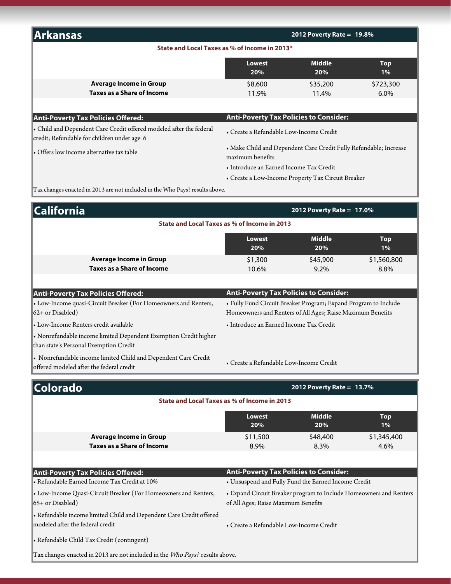| <b>Arkansas</b>                                                                                                    | 2012 Poverty Rate = $19.8\%$                                                          |                              |                     |
|--------------------------------------------------------------------------------------------------------------------|---------------------------------------------------------------------------------------|------------------------------|---------------------|
|                                                                                                                    | State and Local Taxes as % of Income in 2013*                                         |                              |                     |
|                                                                                                                    | <b>Lowest</b><br>20%                                                                  | <b>Middle</b><br>20%         | <b>Top</b><br>$1\%$ |
| <b>Average Income in Group</b>                                                                                     | \$8,600                                                                               | \$35,200                     | \$723,300           |
| Taxes as a Share of Income                                                                                         | 11.9%                                                                                 | 11.4%                        | $6.0\%$             |
| <b>Anti-Poverty Tax Policies Offered:</b>                                                                          | <b>Anti-Poverty Tax Policies to Consider:</b>                                         |                              |                     |
| • Child and Dependent Care Credit offered modeled after the federal<br>credit; Refundable for children under age 6 | • Create a Refundable Low-Income Credit                                               |                              |                     |
| • Offers low income alternative tax table                                                                          | • Make Child and Dependent Care Credit Fully Refundable; Increase<br>maximum benefits |                              |                     |
|                                                                                                                    | • Introduce an Earned Income Tax Credit                                               |                              |                     |
|                                                                                                                    | • Create a Low-Income Property Tax Circuit Breaker                                    |                              |                     |
| Tax changes enacted in 2013 are not included in the Who Pays? results above.                                       |                                                                                       |                              |                     |
| 'alifornia                                                                                                         |                                                                                       | 2012 Poverty Rate = $17.0\%$ |                     |

| <b>California</b>                                                                                          | 2012 Poverty Rate = 17.0%                                                                                                     |                      |                     |  |  |
|------------------------------------------------------------------------------------------------------------|-------------------------------------------------------------------------------------------------------------------------------|----------------------|---------------------|--|--|
| State and Local Taxes as % of Income in 2013                                                               |                                                                                                                               |                      |                     |  |  |
|                                                                                                            | <b>Lowest</b><br>20%                                                                                                          | <b>Middle</b><br>20% | <b>Top</b><br>$1\%$ |  |  |
| <b>Average Income in Group</b>                                                                             | \$1,300                                                                                                                       | \$45,900             | \$1,560,800         |  |  |
| <b>Taxes as a Share of Income</b>                                                                          | 10.6%                                                                                                                         | 9.2%                 | 8.8%                |  |  |
| Anti-Poverty Tax Policies Offered:                                                                         | <b>Anti-Poverty Tax Policies to Consider:</b>                                                                                 |                      |                     |  |  |
| • Low-Income quasi-Circuit Breaker (For Homeowners and Renters,<br>$62+$ or Disabled)                      | • Fully Fund Circuit Breaker Program; Expand Program to Include<br>Homeowners and Renters of All Ages; Raise Maximum Benefits |                      |                     |  |  |
| · Low-Income Renters credit available                                                                      | • Introduce an Earned Income Tax Credit                                                                                       |                      |                     |  |  |
| • Nonrefundable income limited Dependent Exemption Credit higher<br>than state's Personal Exemption Credit |                                                                                                                               |                      |                     |  |  |
| • Nonrefundable income limited Child and Dependent Care Credit<br>offered modeled after the federal credit | • Create a Refundable Low-Income Credit                                                                                       |                      |                     |  |  |
| <b>Colorado</b><br>2012 Poverty Rate = 13.7%                                                               |                                                                                                                               |                      |                     |  |  |
|                                                                                                            | State and Local Taxes as % of Income in 2013                                                                                  |                      |                     |  |  |
|                                                                                                            | <b>Lowest</b><br>20%                                                                                                          | <b>Middle</b><br>20% | <b>Top</b><br>$1\%$ |  |  |
| <b>Average Income in Group</b>                                                                             | \$11,500                                                                                                                      | \$48,400             | \$1,345,400         |  |  |
| <b>Taxes as a Share of Income</b>                                                                          | 8.9%                                                                                                                          | 8.3%                 | 4.6%                |  |  |
|                                                                                                            |                                                                                                                               |                      |                     |  |  |
| <b>Anti-Poverty Tax Policies Offered:</b>                                                                  | <b>Anti-Poverty Tax Policies to Consider:</b>                                                                                 |                      |                     |  |  |
| • Refundable Earned Income Tax Credit at 10%                                                               | • Unsuspend and Fully Fund the Earned Income Credit                                                                           |                      |                     |  |  |
| • Low-Income Quasi-Circuit Breaker (For Homeowners and Renters,                                            | • Expand Circuit Breaker program to Include Homeowners and Renters<br>of All Ages; Raise Maximum Benefits                     |                      |                     |  |  |
| 65+ or Disabled)                                                                                           |                                                                                                                               |                      |                     |  |  |
| • Refundable income limited Child and Dependent Care Credit offered<br>modeled after the federal credit    | · Create a Refundable Low-Income Credit                                                                                       |                      |                     |  |  |
| • Refundable Child Tax Credit (contingent)                                                                 |                                                                                                                               |                      |                     |  |  |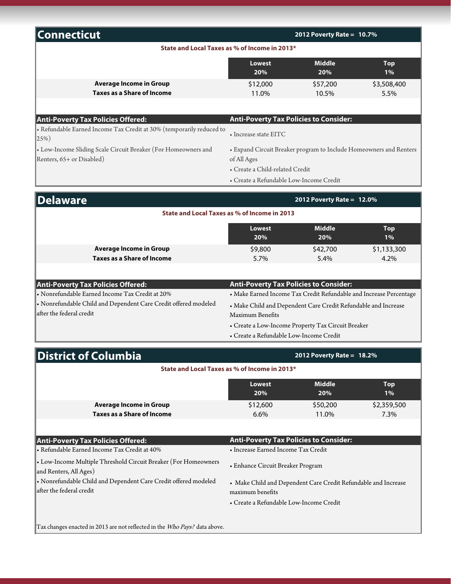| <b>Connecticut</b>                                                                |                                                                                                                      | 2012 Poverty Rate = $10.7\%$ |                  |  |
|-----------------------------------------------------------------------------------|----------------------------------------------------------------------------------------------------------------------|------------------------------|------------------|--|
|                                                                                   | State and Local Taxes as % of Income in 2013*                                                                        |                              |                  |  |
|                                                                                   | <b>Middle</b><br><b>Lowest</b><br><b>Top</b><br>20%<br>20%<br>1%                                                     |                              |                  |  |
| <b>Average Income in Group</b>                                                    | \$12,000                                                                                                             | \$57,200                     | \$3,508,400      |  |
| <b>Taxes as a Share of Income</b>                                                 | 11.0%                                                                                                                | 10.5%                        | 5.5%             |  |
|                                                                                   |                                                                                                                      |                              |                  |  |
| <b>Anti-Poverty Tax Policies Offered:</b>                                         | <b>Anti-Poverty Tax Policies to Consider:</b>                                                                        |                              |                  |  |
| · Refundable Earned Income Tax Credit at 30% (temporarily reduced to<br>$ 25\%$ ) | $\bullet$ Increase state EITC.                                                                                       |                              |                  |  |
| • Low-Income Sliding Scale Circuit Breaker (For Homeowners and                    | • Expand Circuit Breaker program to Include Homeowners and Renters<br>of All Ages<br>• Create a Child-related Credit |                              |                  |  |
| Renters, 65+ or Disabled)                                                         |                                                                                                                      |                              |                  |  |
|                                                                                   |                                                                                                                      |                              |                  |  |
|                                                                                   | • Create a Refundable Low-Income Credit                                                                              |                              |                  |  |
| <b>Delaware</b>                                                                   |                                                                                                                      | 2012 Poverty Rate = 12.0%    |                  |  |
|                                                                                   | State and Local Taxes as % of Income in 2013                                                                         |                              |                  |  |
|                                                                                   | <b>Lowest</b><br>20%                                                                                                 | <b>Middle</b><br>20%         | <b>Top</b><br>1% |  |
| <b>Average Income in Group</b>                                                    | \$9,800                                                                                                              | \$42,700                     | \$1,133,300      |  |
| <b>Taxes as a Share of Income</b>                                                 | 5.7%                                                                                                                 | 5.4%                         | 4.2%             |  |
|                                                                                   |                                                                                                                      |                              |                  |  |
| <b>Anti-Poverty Tax Policies Offered:</b>                                         | <b>Anti-Poverty Tax Policies to Consider:</b>                                                                        |                              |                  |  |
| • Nonrefundable Earned Income Tax Credit at 20%                                   | • Make Earned Income Tax Credit Refundable and Increase Percentage                                                   |                              |                  |  |
| • Nonrefundable Child and Dependent Care Credit offered modeled                   | • Make Child and Dependent Care Credit Refundable and Increase                                                       |                              |                  |  |
| after the federal credit                                                          | Maximum Benefits                                                                                                     |                              |                  |  |

- Create a Low-Income Property Tax Circuit Breaker
- Create a Refundable Low-Income Credit

| District of Columbia                                                                    | 2012 Poverty Rate = $18.2\%$                  |                   |                     |  |
|-----------------------------------------------------------------------------------------|-----------------------------------------------|-------------------|---------------------|--|
| State and Local Taxes as % of Income in 2013*                                           |                                               |                   |                     |  |
|                                                                                         | <b>Lowest</b><br>20%                          | Middle<br>20%     | Top<br>$1\%$        |  |
| <b>Average Income in Group</b><br><b>Taxes as a Share of Income</b>                     | \$12,600<br>$6.6\%$                           | \$50,200<br>11.0% | \$2,359,500<br>7.3% |  |
|                                                                                         |                                               |                   |                     |  |
| <b>Anti-Poverty Tax Policies Offered:</b>                                               | <b>Anti-Poverty Tax Policies to Consider:</b> |                   |                     |  |
| • Refundable Earned Income Tax Credit at 40%                                            | • Increase Earned Income Tax Credit           |                   |                     |  |
| Low-Income Multiple Threshold Circuit Breaker (For Homeowners<br>and Renters, All Ages) | • Enhance Circuit Breaker Program             |                   |                     |  |

- Nonrefundable Child and Dependent Care Credit offered modeled after the federal credit
- Make Child and Dependent Care Credit Refundable and Increase maximum benefits
- Create a Refundable Low-Income Credit

Tax changes enacted in 2013 are not reflected in the Who Pays? data above.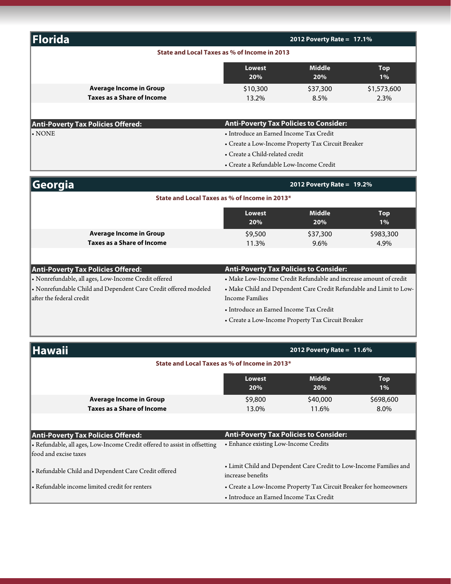| Florida                                                                                           |                                                                                          | 2012 Poverty Rate = $17.1\%$                                        |                  |
|---------------------------------------------------------------------------------------------------|------------------------------------------------------------------------------------------|---------------------------------------------------------------------|------------------|
|                                                                                                   | State and Local Taxes as % of Income in 2013                                             |                                                                     |                  |
|                                                                                                   | <b>Lowest</b><br>20%                                                                     | <b>Middle</b><br>20%                                                | <b>Top</b><br>1% |
| <b>Average Income in Group</b>                                                                    | \$10,300                                                                                 | \$37,300                                                            | \$1,573,600      |
| <b>Taxes as a Share of Income</b>                                                                 | 13.2%                                                                                    | 8.5%                                                                | 2.3%             |
|                                                                                                   |                                                                                          |                                                                     |                  |
| <b>Anti-Poverty Tax Policies Offered:</b><br>$\boldsymbol{\cdot}$ NONE                            | <b>Anti-Poverty Tax Policies to Consider:</b><br>• Introduce an Earned Income Tax Credit |                                                                     |                  |
|                                                                                                   |                                                                                          | • Create a Low-Income Property Tax Circuit Breaker                  |                  |
|                                                                                                   | • Create a Child-related credit                                                          |                                                                     |                  |
|                                                                                                   | • Create a Refundable Low-Income Credit                                                  |                                                                     |                  |
| $ $ Georgia                                                                                       |                                                                                          | 2012 Poverty Rate = $19.2\%$                                        |                  |
|                                                                                                   | State and Local Taxes as % of Income in 2013*                                            |                                                                     |                  |
|                                                                                                   | <b>Lowest</b><br>20%                                                                     | <b>Middle</b><br>20%                                                | <b>Top</b><br>1% |
| <b>Average Income in Group</b>                                                                    | \$9,500                                                                                  | \$37,300                                                            | \$983,300        |
| <b>Taxes as a Share of Income</b>                                                                 | 11.3%                                                                                    | 9.6%                                                                | 4.9%             |
|                                                                                                   | <b>Anti-Poverty Tax Policies to Consider:</b>                                            |                                                                     |                  |
| <b>Anti-Poverty Tax Policies Offered:</b><br>· Nonrefundable, all ages, Low-Income Credit offered |                                                                                          | • Make Low-Income Credit Refundable and increase amount of credit   |                  |
| • Nonrefundable Child and Dependent Care Credit offered modeled<br>after the federal credit       | <b>Income Families</b>                                                                   | • Make Child and Dependent Care Credit Refundable and Limit to Low- |                  |
|                                                                                                   | • Introduce an Earned Income Tax Credit                                                  |                                                                     |                  |
|                                                                                                   |                                                                                          | • Create a Low-Income Property Tax Circuit Breaker                  |                  |
| Hawaii                                                                                            |                                                                                          | 2012 Poverty Rate = $11.6\%$                                        |                  |
|                                                                                                   | State and Local Taxes as % of Income in 2013*                                            |                                                                     |                  |
|                                                                                                   | <b>Lowest</b>                                                                            | <b>Middle</b>                                                       | <b>Top</b>       |
|                                                                                                   | 20%                                                                                      | 20%                                                                 | $1\%$            |
| <b>Average Income in Group</b>                                                                    | \$9,800                                                                                  | \$40,000                                                            | \$698,600        |
| <b>Taxes as a Share of Income</b>                                                                 | 13.0%                                                                                    | 11.6%                                                               | 8.0%             |
| <b>Anti-Poverty Tax Policies Offered:</b>                                                         | <b>Anti-Poverty Tax Policies to Consider:</b>                                            |                                                                     |                  |
| • Refundable, all ages, Low-Income Credit offered to assist in offsetting                         | • Enhance existing Low-Income Credits                                                    |                                                                     |                  |
| food and excise taxes                                                                             |                                                                                          |                                                                     |                  |

• Refundable Child and Dependent Care Credit offered

#### • Limit Child and Dependent Care Credit to Low-Income Families and increase benefits

• Refundable income limited credit for renters • Create a Low-Income Property Tax Circuit Breaker for homeowners • Introduce an Earned Income Tax Credit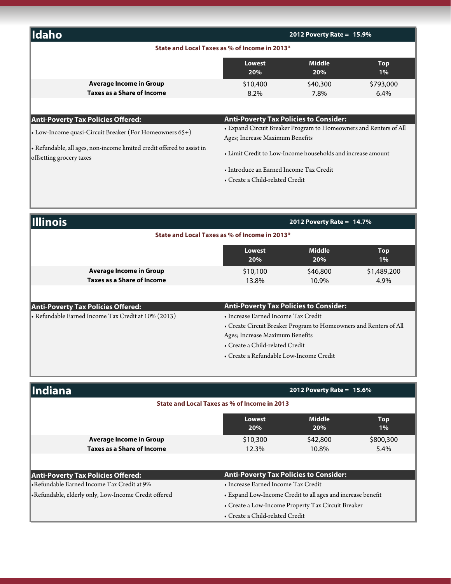| <b>Ildaho</b>                                                 |                                                                                                      | 2012 Poverty Rate = $15.9\%$ |                      |
|---------------------------------------------------------------|------------------------------------------------------------------------------------------------------|------------------------------|----------------------|
| State and Local Taxes as % of Income in 2013*                 |                                                                                                      |                              |                      |
|                                                               | <b>Lowest</b><br>20%                                                                                 | <b>Middle</b><br>20%         | <b>Top</b><br>1%     |
| <b>Average Income in Group</b><br>Taxes as a Share of Income  | \$10,400<br>$8.2\%$                                                                                  | \$40,300<br>7.8%             | \$793,000<br>$6.4\%$ |
| <b>Anti-Poverty Tax Policies Offered:</b>                     | <b>Anti-Poverty Tax Policies to Consider:</b>                                                        |                              |                      |
| $\cdot$ Low-Income quasi-Circuit Breaker (For Homeowners 65+) | • Expand Circuit Breaker Program to Homeowners and Renters of All<br>Ages; Increase Maximum Benefits |                              |                      |

• Refundable, all ages, non-income limited credit offered to assist in offsetting grocery taxes

• Limit Credit to Low-Income households and increase amount

- Introduce an Earned Income Tax Credit
- Create a Child-related Credit

| <b>Illinois</b>                               |                                                              | 2012 Poverty Rate = $14.7\%$ |                      |                     |
|-----------------------------------------------|--------------------------------------------------------------|------------------------------|----------------------|---------------------|
| State and Local Taxes as % of Income in 2013* |                                                              |                              |                      |                     |
|                                               |                                                              | <b>Lowest</b><br>20%         | <b>Middle</b><br>20% | <b>Top</b><br>1%    |
|                                               | <b>Average Income in Group</b><br>Taxes as a Share of Income | \$10,100<br>13.8%            | \$46,800<br>10.9%    | \$1,489,200<br>4.9% |
|                                               |                                                              |                              |                      |                     |

| Anti-Poverty Tax Policies Offered:                  | <b>Anti-Poverty Tax Policies to Consider:</b>                     |
|-----------------------------------------------------|-------------------------------------------------------------------|
| - Refundable Earned Income Tax Credit at 10% (2013) | • Increase Earned Income Tax Credit                               |
|                                                     | • Create Circuit Breaker Program to Homeowners and Renters of All |
|                                                     | Ages; Increase Maximum Benefits                                   |
|                                                     | • Create a Child-related Credit                                   |
|                                                     | • Create a Refundable Low-Income Credit                           |

| Indiana                                             | 2012 Poverty Rate = $15.6\%$                                        |          |           |  |
|-----------------------------------------------------|---------------------------------------------------------------------|----------|-----------|--|
| State and Local Taxes as % of Income in 2013        |                                                                     |          |           |  |
|                                                     | <b>Middle</b><br><b>Lowest</b><br><b>Top</b><br>20%<br>$1\%$<br>20% |          |           |  |
| <b>Average Income in Group</b>                      | \$10,300                                                            | \$42,800 | \$800,300 |  |
| Taxes as a Share of Income                          | 12.3%                                                               | 10.8%    | 5.4%      |  |
|                                                     |                                                                     |          |           |  |
| <b>Anti-Poverty Tax Policies Offered:</b>           | <b>Anti-Poverty Tax Policies to Consider:</b>                       |          |           |  |
| Refundable Earned Income Tax Credit at 9%           | • Increase Earned Income Tax Credit                                 |          |           |  |
| Refundable, elderly only, Low-Income Credit offered | • Expand Low-Income Credit to all ages and increase benefit         |          |           |  |
|                                                     | • Create a Low-Income Property Tax Circuit Breaker                  |          |           |  |
|                                                     | • Create a Child-related Credit                                     |          |           |  |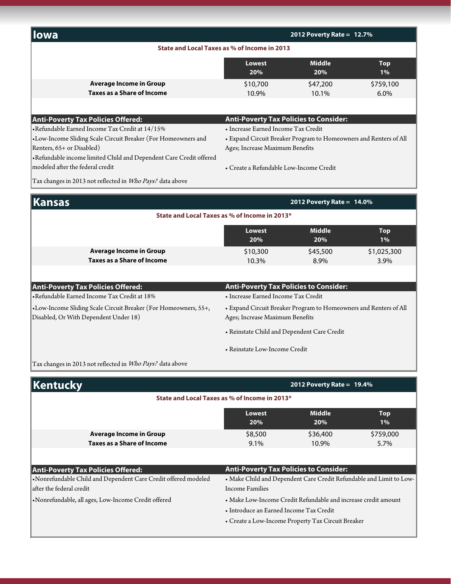| lowa                                                               | 2012 Poverty Rate = $12.7\%$                                        |                              |           |  |
|--------------------------------------------------------------------|---------------------------------------------------------------------|------------------------------|-----------|--|
| State and Local Taxes as % of Income in 2013                       |                                                                     |                              |           |  |
|                                                                    | <b>Middle</b><br><b>Lowest</b><br><b>Top</b><br>20%<br>20%<br>$1\%$ |                              |           |  |
| <b>Average Income in Group</b>                                     | \$10,700                                                            | \$47,200                     | \$759,100 |  |
| <b>Taxes as a Share of Income</b>                                  | 10.9%                                                               | 10.1%                        | 6.0%      |  |
| <b>Anti-Poverty Tax Policies Offered:</b>                          | <b>Anti-Poverty Tax Policies to Consider:</b>                       |                              |           |  |
| •Refundable Earned Income Tax Credit at 14/15%                     | • Increase Earned Income Tax Credit                                 |                              |           |  |
| •Low-Income Sliding Scale Circuit Breaker (For Homeowners and      | • Expand Circuit Breaker Program to Homeowners and Renters of All   |                              |           |  |
| Renters, 65+ or Disabled)                                          | Ages; Increase Maximum Benefits                                     |                              |           |  |
| •Refundable income limited Child and Dependent Care Credit offered |                                                                     |                              |           |  |
| modeled after the federal credit                                   | • Create a Refundable Low-Income Credit                             |                              |           |  |
| Tax changes in 2013 not reflected in Who Pays? data above          |                                                                     |                              |           |  |
| nsas                                                               |                                                                     | 2012 Poverty Rate = $14.0\%$ |           |  |

| <b>Kansas</b>                                                                                            | 2012 Poverty Rate = $14.0\%$                                                                         |                  |                     |  |  |
|----------------------------------------------------------------------------------------------------------|------------------------------------------------------------------------------------------------------|------------------|---------------------|--|--|
| State and Local Taxes as % of Income in 2013*                                                            |                                                                                                      |                  |                     |  |  |
|                                                                                                          | Middle<br><b>Top</b><br>Lowest<br><b>20%</b><br>$1\%$<br>20%                                         |                  |                     |  |  |
| <b>Average Income in Group</b><br>Taxes as a Share of Income                                             | \$10,300<br>10.3%                                                                                    | \$45,500<br>8.9% | \$1,025,300<br>3.9% |  |  |
|                                                                                                          |                                                                                                      |                  |                     |  |  |
| Anti-Poverty Tax Policies Offered:                                                                       | <b>Anti-Poverty Tax Policies to Consider:</b>                                                        |                  |                     |  |  |
| Refundable Earned Income Tax Credit at 18%                                                               | • Increase Earned Income Tax Credit                                                                  |                  |                     |  |  |
| •Low-Income Sliding Scale Circuit Breaker (For Homeowners, 55+,<br>Disabled, Or With Dependent Under 18) | • Expand Circuit Breaker Program to Homeowners and Renters of All<br>Ages; Increase Maximum Benefits |                  |                     |  |  |

• Reinstate Child and Dependent Care Credit

• Reinstate Low-Income Credit

Tax changes in 2013 not reflected in  $W$ ho Pays? data above

| Kentucky                                                                                                                                | 2012 Poverty Rate = $19.4\%$                                                                                                                                    |                   |                   |  |
|-----------------------------------------------------------------------------------------------------------------------------------------|-----------------------------------------------------------------------------------------------------------------------------------------------------------------|-------------------|-------------------|--|
| State and Local Taxes as % of Income in 2013*                                                                                           |                                                                                                                                                                 |                   |                   |  |
|                                                                                                                                         | <b>Middle</b><br>Lowest<br><b>Top</b><br>20%<br>$1\%$<br>20%                                                                                                    |                   |                   |  |
| <b>Average Income in Group</b><br><b>Taxes as a Share of Income</b>                                                                     | \$8,500<br>9.1%                                                                                                                                                 | \$36,400<br>10.9% | \$759,000<br>5.7% |  |
|                                                                                                                                         |                                                                                                                                                                 |                   |                   |  |
| <b>Anti-Poverty Tax Policies Offered:</b><br>•Nonrefundable Child and Dependent Care Credit offered modeled<br>after the federal credit | <b>Anti-Poverty Tax Policies to Consider:</b><br>• Make Child and Dependent Care Credit Refundable and Limit to Low-<br><b>Income Families</b>                  |                   |                   |  |
| •Nonrefundable, all ages, Low-Income Credit offered                                                                                     | • Make Low-Income Credit Refundable and increase credit amount<br>• Introduce an Earned Income Tax Credit<br>• Create a Low-Income Property Tax Circuit Breaker |                   |                   |  |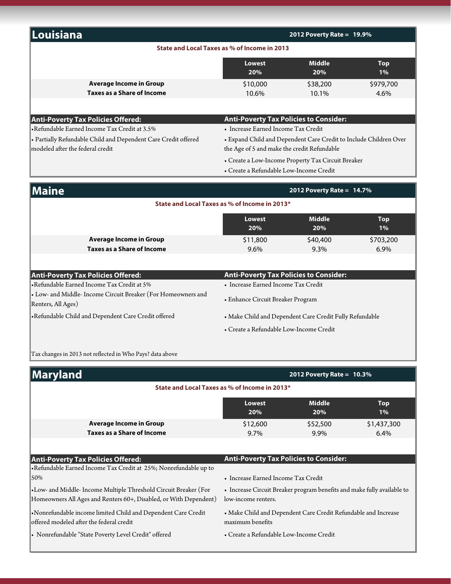| Louisiana                                                                                                                             |                                                                                                                                       | 2012 Poverty Rate = $19.9\%$                            |                     |  |
|---------------------------------------------------------------------------------------------------------------------------------------|---------------------------------------------------------------------------------------------------------------------------------------|---------------------------------------------------------|---------------------|--|
| State and Local Taxes as % of Income in 2013                                                                                          |                                                                                                                                       |                                                         |                     |  |
|                                                                                                                                       | <b>Lowest</b><br>20%                                                                                                                  | <b>Middle</b><br>20%                                    | <b>Top</b><br>1%    |  |
| <b>Average Income in Group</b><br><b>Taxes as a Share of Income</b>                                                                   | \$10,000                                                                                                                              | \$38,200                                                | \$979,700           |  |
|                                                                                                                                       | 10.6%                                                                                                                                 | 10.1%                                                   | 4.6%                |  |
| <b>Anti-Poverty Tax Policies Offered:</b>                                                                                             | <b>Anti-Poverty Tax Policies to Consider:</b>                                                                                         |                                                         |                     |  |
| •Refundable Earned Income Tax Credit at 3.5%                                                                                          | • Increase Earned Income Tax Credit                                                                                                   |                                                         |                     |  |
| • Partially Refundable Child and Dependent Care Credit offered<br>modeled after the federal credit                                    | • Expand Child and Dependent Care Credit to Include Children Over<br>the Age of 5 and make the credit Refundable                      |                                                         |                     |  |
|                                                                                                                                       | • Create a Refundable Low-Income Credit                                                                                               | • Create a Low-Income Property Tax Circuit Breaker      |                     |  |
| Maine                                                                                                                                 |                                                                                                                                       | 2012 Poverty Rate = $14.7\%$                            |                     |  |
|                                                                                                                                       | State and Local Taxes as % of Income in 2013*                                                                                         |                                                         |                     |  |
|                                                                                                                                       | <b>Lowest</b><br>20%                                                                                                                  | <b>Middle</b><br>20%                                    | <b>Top</b><br>$1\%$ |  |
| <b>Average Income in Group</b><br><b>Taxes as a Share of Income</b>                                                                   | \$11,800<br>9.6%                                                                                                                      | \$40,400<br>9.3%                                        | \$703,200<br>6.9%   |  |
|                                                                                                                                       |                                                                                                                                       |                                                         |                     |  |
| <b>Anti-Poverty Tax Policies Offered:</b>                                                                                             | <b>Anti-Poverty Tax Policies to Consider:</b>                                                                                         |                                                         |                     |  |
| •Refundable Earned Income Tax Credit at 5%                                                                                            | • Increase Earned Income Tax Credit                                                                                                   |                                                         |                     |  |
| • Low- and Middle- Income Circuit Breaker (For Homeowners and<br>Renters, All Ages)                                                   | • Enhance Circuit Breaker Program                                                                                                     |                                                         |                     |  |
| •Refundable Child and Dependent Care Credit offered                                                                                   |                                                                                                                                       | • Make Child and Dependent Care Credit Fully Refundable |                     |  |
|                                                                                                                                       | • Create a Refundable Low-Income Credit                                                                                               |                                                         |                     |  |
| Tax changes in 2013 not reflected in Who Pays? data above                                                                             |                                                                                                                                       |                                                         |                     |  |
| Maryland                                                                                                                              |                                                                                                                                       | 2012 Poverty Rate = $10.3\%$                            |                     |  |
|                                                                                                                                       | State and Local Taxes as % of Income in 2013*                                                                                         |                                                         |                     |  |
|                                                                                                                                       | <b>Lowest</b><br>20%                                                                                                                  | <b>Middle</b><br>20%                                    | <b>Top</b><br>$1\%$ |  |
| <b>Average Income in Group</b><br><b>Taxes as a Share of Income</b>                                                                   | \$12,600<br>9.7%                                                                                                                      | \$52,500<br>9.9%                                        | \$1,437,300<br>6.4% |  |
|                                                                                                                                       |                                                                                                                                       |                                                         |                     |  |
| <b>Anti-Poverty Tax Policies Offered:</b>                                                                                             | <b>Anti-Poverty Tax Policies to Consider:</b>                                                                                         |                                                         |                     |  |
| •Refundable Earned Income Tax Credit at 25%; Nonrefundable up to<br>50%                                                               |                                                                                                                                       |                                                         |                     |  |
| •Low- and Middle- Income Multiple Threshold Circuit Breaker (For<br>Homeowners All Ages and Renters 60+, Disabled, or With Dependent) | • Increase Earned Income Tax Credit<br>• Increase Circuit Breaker program benefits and make fully available to<br>low-income renters. |                                                         |                     |  |
| •Nonrefundable income limited Child and Dependent Care Credit<br>offered modeled after the federal credit                             | • Make Child and Dependent Care Credit Refundable and Increase<br>maximum benefits                                                    |                                                         |                     |  |
| • Nonrefundable "State Poverty Level Credit" offered                                                                                  | · Create a Refundable Low-Income Credit                                                                                               |                                                         |                     |  |
|                                                                                                                                       |                                                                                                                                       |                                                         |                     |  |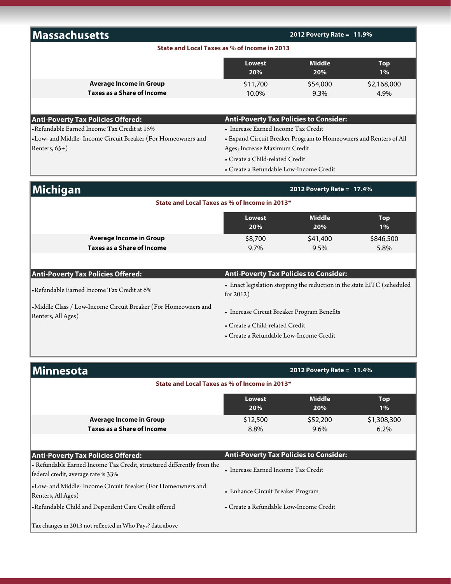| Massachusetts                                                                                                 |                                                                  | 2012 Poverty Rate = $11.9\%$                                            |                  |
|---------------------------------------------------------------------------------------------------------------|------------------------------------------------------------------|-------------------------------------------------------------------------|------------------|
|                                                                                                               | State and Local Taxes as % of Income in 2013                     |                                                                         |                  |
|                                                                                                               | <b>Middle</b><br><b>Lowest</b><br><b>Top</b><br>20%<br>20%<br>1% |                                                                         |                  |
| <b>Average Income in Group</b>                                                                                | \$11,700                                                         | \$54,000                                                                | \$2,168,000      |
| <b>Taxes as a Share of Income</b>                                                                             | 10.0%                                                            | 9.3%                                                                    | 4.9%             |
|                                                                                                               |                                                                  |                                                                         |                  |
| <b>Anti-Poverty Tax Policies Offered:</b>                                                                     | <b>Anti-Poverty Tax Policies to Consider:</b>                    |                                                                         |                  |
| •Refundable Earned Income Tax Credit at 15%                                                                   | • Increase Earned Income Tax Credit                              |                                                                         |                  |
| •Low- and Middle- Income Circuit Breaker (For Homeowners and                                                  |                                                                  | • Expand Circuit Breaker Program to Homeowners and Renters of All       |                  |
| Renters, 65+)                                                                                                 | Ages; Increase Maximum Credit                                    |                                                                         |                  |
|                                                                                                               | • Create a Child-related Credit                                  |                                                                         |                  |
|                                                                                                               | • Create a Refundable Low-Income Credit                          |                                                                         |                  |
| Michigan                                                                                                      | 2012 Poverty Rate = 17.4%                                        |                                                                         |                  |
|                                                                                                               | State and Local Taxes as % of Income in 2013*                    |                                                                         |                  |
|                                                                                                               | <b>Lowest</b>                                                    | <b>Middle</b>                                                           | <b>Top</b>       |
|                                                                                                               | 20%                                                              | 20%                                                                     | $1\%$            |
| <b>Average Income in Group</b>                                                                                | \$8,700                                                          | \$41,400                                                                | \$846,500        |
| <b>Taxes as a Share of Income</b>                                                                             | 9.7%                                                             | 9.5%                                                                    | 5.8%             |
|                                                                                                               |                                                                  |                                                                         |                  |
| <b>Anti-Poverty Tax Policies Offered:</b>                                                                     | <b>Anti-Poverty Tax Policies to Consider:</b>                    |                                                                         |                  |
| •Refundable Earned Income Tax Credit at 6%                                                                    | for $2012$ )                                                     | • Enact legislation stopping the reduction in the state EITC (scheduled |                  |
| •Middle Class / Low-Income Circuit Breaker (For Homeowners and<br>Renters, All Ages)                          | • Increase Circuit Breaker Program Benefits                      |                                                                         |                  |
|                                                                                                               | • Create a Child-related Credit                                  |                                                                         |                  |
|                                                                                                               | • Create a Refundable Low-Income Credit                          |                                                                         |                  |
|                                                                                                               |                                                                  | 2012 Poverty Rate = $11.4\%$                                            |                  |
| Minnesota                                                                                                     | State and Local Taxes as % of Income in 2013*                    |                                                                         |                  |
|                                                                                                               |                                                                  |                                                                         |                  |
|                                                                                                               | <b>Lowest</b><br>20%                                             | <b>Middle</b><br>20%                                                    | <b>Top</b><br>1% |
| <b>Average Income in Group</b>                                                                                | \$12,500                                                         | \$52,200                                                                | \$1,308,300      |
| <b>Taxes as a Share of Income</b>                                                                             | 8.8%                                                             | 9.6%                                                                    | 6.2%             |
|                                                                                                               |                                                                  |                                                                         |                  |
| <b>Anti-Poverty Tax Policies Offered:</b>                                                                     | <b>Anti-Poverty Tax Policies to Consider:</b>                    |                                                                         |                  |
| • Refundable Earned Income Tax Credit, structured differently from the<br>federal credit, average rate is 33% | • Increase Earned Income Tax Credit                              |                                                                         |                  |

•Low- and Middle- Income Circuit Breaker (For Homeowners and Renters, All Ages)

•Refundable Child and Dependent Care Credit offered • Create a Refundable Low-Income Credit

• Enhance Circuit Breaker Program

Tax changes in 2013 not reflected in Who Pays? data above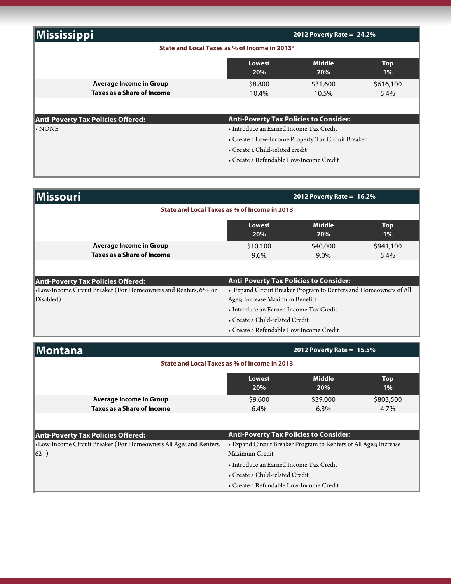| <b>Mississippi</b>                            | 2012 Poverty Rate = $24.2\%$                  |                      |                     |
|-----------------------------------------------|-----------------------------------------------|----------------------|---------------------|
| State and Local Taxes as % of Income in 2013* |                                               |                      |                     |
|                                               | Lowest<br>20%                                 | <b>Middle</b><br>20% | <b>Top</b><br>$1\%$ |
| <b>Average Income in Group</b>                | \$8,800                                       | \$31,600             | \$616,100           |
| Taxes as a Share of Income                    | 10.4%                                         | 10.5%                | 5.4%                |
|                                               |                                               |                      |                     |
| <b>Anti-Poverty Tax Policies Offered:</b>     | <b>Anti-Poverty Tax Policies to Consider:</b> |                      |                     |
| I• NONE                                       | • Introduce an Earned Income Tax Credit       |                      |                     |

- Create a Low-Income Property Tax Circuit Breaker
- Create a Child-related credit
- Create a Refundable Low-Income Credit

| <b>Missouri</b>                                                 | 2012 Poverty Rate = $16.2\%$                                      |                              |           |  |  |
|-----------------------------------------------------------------|-------------------------------------------------------------------|------------------------------|-----------|--|--|
| State and Local Taxes as % of Income in 2013                    |                                                                   |                              |           |  |  |
|                                                                 | <b>Middle</b><br><b>Top</b><br>Lowest<br>20%<br>20%<br>$1\%$      |                              |           |  |  |
| <b>Average Income in Group</b>                                  | \$10,100                                                          | \$40,000                     | \$941,100 |  |  |
| <b>Taxes as a Share of Income</b>                               | $9.6\%$                                                           | $9.0\%$                      | 5.4%      |  |  |
|                                                                 |                                                                   |                              |           |  |  |
| <b>Anti-Poverty Tax Policies Offered:</b>                       | <b>Anti-Poverty Tax Policies to Consider:</b>                     |                              |           |  |  |
| •Low-Income Circuit Breaker (For Homeowners and Renters, 65+ or | • Expand Circuit Breaker Program to Renters and Homeowners of All |                              |           |  |  |
| Disabled)                                                       | Ages; Increase Maximum Benefits                                   |                              |           |  |  |
|                                                                 | • Introduce an Earned Income Tax Credit                           |                              |           |  |  |
|                                                                 | • Create a Child-related Credit                                   |                              |           |  |  |
|                                                                 | • Create a Refundable Low-Income Credit                           |                              |           |  |  |
| <b>Montana</b>                                                  |                                                                   | 2012 Poverty Rate = $15.5\%$ |           |  |  |
|                                                                 |                                                                   |                              |           |  |  |

|                                                                   | State and Local Taxes as % of Income in 2013  |                                                                   |                     |
|-------------------------------------------------------------------|-----------------------------------------------|-------------------------------------------------------------------|---------------------|
|                                                                   | Lowest<br>20%                                 | <b>Middle</b><br>20%                                              | <b>Top</b><br>$1\%$ |
| <b>Average Income in Group</b>                                    | \$9,600                                       | \$39,000                                                          | \$803,500           |
| Taxes as a Share of Income                                        | $6.4\%$                                       | $6.3\%$                                                           | 4.7%                |
|                                                                   |                                               |                                                                   |                     |
| Anti-Poverty Tax Policies Offered:                                | <b>Anti-Poverty Tax Policies to Consider:</b> |                                                                   |                     |
| •Low-Income Circuit Breaker (For Homeowners All Ages and Renters, |                                               | • Expand Circuit Breaker Program to Renters of All Ages; Increase |                     |
| $(62+)$                                                           | Maximum Credit                                |                                                                   |                     |
|                                                                   | • Introduce an Earned Income Tax Credit       |                                                                   |                     |
|                                                                   | • Create a Child-related Credit               |                                                                   |                     |
|                                                                   | • Create a Refundable Low-Income Credit       |                                                                   |                     |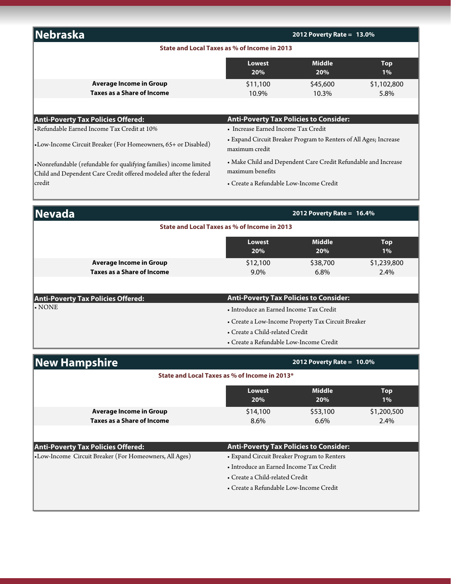| Nebraska                          |                                              | 2012 Poverty Rate = $13.0\%$ |                     |
|-----------------------------------|----------------------------------------------|------------------------------|---------------------|
|                                   | State and Local Taxes as % of Income in 2013 |                              |                     |
|                                   | <b>Lowest</b><br>20%                         | <b>Middle</b><br>20%         | <b>Top</b><br>$1\%$ |
| <b>Average Income in Group</b>    | \$11,100                                     | \$45,600                     | \$1,102,800         |
| <b>Taxes as a Share of Income</b> | 10.9%                                        | 10.3%                        | 5.8%                |
|                                   |                                              |                              |                     |

### **Anti-Poverty Tax Policies Offered:**

•Refundable Earned Income Tax Credit at 10% • Increase Earned Income Tax Credit

credit • Create a Refundable Low-Income Credit •Nonrefundable (refundable for qualifying families) income limited Child and Dependent Care Credit offered modeled after the federal

**Anti-Poverty Tax Policies to Consider:**

•Low-Income Circuit Breaker (For Homeowners, 65+ or Disabled) • Expand Circuit Breaker Program to Renters of All Ages; Increase maximum credit

> • Make Child and Dependent Care Credit Refundable and Increase maximum benefits

| <b>Nevada</b>                                          |                                                    | 2012 Poverty Rate = $16.4\%$ |                     |
|--------------------------------------------------------|----------------------------------------------------|------------------------------|---------------------|
|                                                        | State and Local Taxes as % of Income in 2013       |                              |                     |
|                                                        | <b>Lowest</b><br>20%                               | <b>Middle</b><br>20%         | <b>Top</b><br>$1\%$ |
| <b>Average Income in Group</b>                         | \$12,100                                           | \$38,700                     | \$1,239,800         |
| <b>Taxes as a Share of Income</b>                      | 9.0%                                               | 6.8%                         | 2.4%                |
|                                                        |                                                    |                              |                     |
| <b>Anti-Poverty Tax Policies Offered:</b>              | <b>Anti-Poverty Tax Policies to Consider:</b>      |                              |                     |
| $\boldsymbol{\cdot}$ NONE                              | • Introduce an Earned Income Tax Credit            |                              |                     |
|                                                        | • Create a Low-Income Property Tax Circuit Breaker |                              |                     |
|                                                        | • Create a Child-related Credit                    |                              |                     |
|                                                        | • Create a Refundable Low-Income Credit            |                              |                     |
|                                                        |                                                    |                              |                     |
| <b>New Hampshire</b>                                   |                                                    | 2012 Poverty Rate = $10.0\%$ |                     |
|                                                        | State and Local Taxes as % of Income in 2013*      |                              |                     |
|                                                        | <b>Lowest</b><br>20%                               | <b>Middle</b><br>20%         | <b>Top</b><br>$1\%$ |
| <b>Average Income in Group</b>                         | \$14,100                                           | \$53,100                     | \$1,200,500         |
| <b>Taxes as a Share of Income</b>                      | 8.6%                                               | 6.6%                         | 2.4%                |
|                                                        |                                                    |                              |                     |
| <b>Anti-Poverty Tax Policies Offered:</b>              | <b>Anti-Poverty Tax Policies to Consider:</b>      |                              |                     |
| •Low-Income Circuit Breaker (For Homeowners, All Ages) | • Expand Circuit Breaker Program to Renters        |                              |                     |
|                                                        | • Introduce an Earned Income Tax Credit            |                              |                     |
|                                                        | • Create a Child-related Credit                    |                              |                     |

• Create a Refundable Low-Income Credit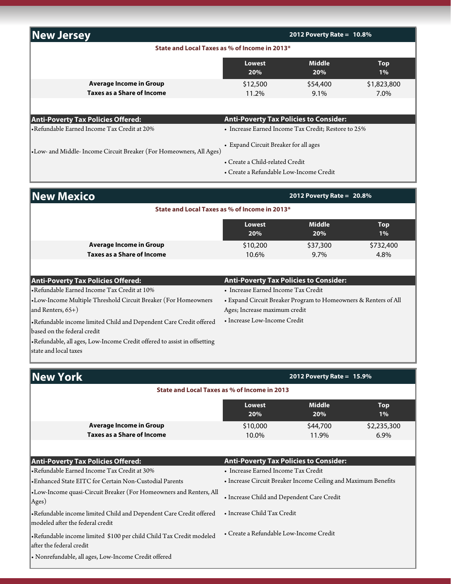| <b>New Jersey</b>                                                   |                                                                  | 2012 Poverty Rate = $10.8\%$ |                  |  |
|---------------------------------------------------------------------|------------------------------------------------------------------|------------------------------|------------------|--|
| State and Local Taxes as % of Income in 2013*                       |                                                                  |                              |                  |  |
|                                                                     | <b>Middle</b><br><b>Lowest</b><br><b>Top</b><br>20%<br>20%<br>1% |                              |                  |  |
| <b>Average Income in Group</b>                                      | \$12,500                                                         | \$54,400                     | \$1,823,800      |  |
| <b>Taxes as a Share of Income</b>                                   | 11.2%                                                            | 9.1%                         | 7.0%             |  |
|                                                                     |                                                                  |                              |                  |  |
| Anti-Poverty Tax Policies Offered:                                  | <b>Anti-Poverty Tax Policies to Consider:</b>                    |                              |                  |  |
| •Refundable Earned Income Tax Credit at 20%                         | • Increase Earned Income Tax Credit; Restore to 25%              |                              |                  |  |
| •Low- and Middle- Income Circuit Breaker (For Homeowners, All Ages) | • Expand Circuit Breaker for all ages                            |                              |                  |  |
|                                                                     | • Create a Child-related Credit                                  |                              |                  |  |
|                                                                     | • Create a Refundable Low-Income Credit                          |                              |                  |  |
| <b>New Mexico</b>                                                   |                                                                  | 2012 Poverty Rate = $20.8\%$ |                  |  |
| State and Local Taxes as % of Income in 2013*                       |                                                                  |                              |                  |  |
|                                                                     | <b>Lowest</b><br>20%                                             | <b>Middle</b><br>20%         | <b>Top</b><br>1% |  |
| <b>Average Income in Group</b>                                      | \$10,200                                                         | \$37,300                     | \$732,400        |  |
| <b>Taxes as a Share of Income</b>                                   | 10.6%                                                            | $9.7\%$                      | 4.8%             |  |
|                                                                     |                                                                  |                              |                  |  |

| <b>Anti-Poverty Tax Policies Offered:</b>                                | <b>Anti-Poverty Tax Policies to Consider:</b>                   |
|--------------------------------------------------------------------------|-----------------------------------------------------------------|
| •Refundable Earned Income Tax Credit at 10%                              | • Increase Earned Income Tax Credit                             |
| •Low-Income Multiple Threshold Circuit Breaker (For Homeowners           | • Expand Circuit Breaker Program to Homeowners & Renters of All |
| and Renters, $65+$ )                                                     | Ages; Increase maximum credit                                   |
| Refundable income limited Child and Dependent Care Credit offered        | • Increase Low-Income Credit                                    |
| based on the federal credit                                              |                                                                 |
| -Refundable, all ages, Low-Income Credit offered to assist in offsetting |                                                                 |
| state and local taxes                                                    |                                                                 |

| New York                                                                                        | 2012 Poverty Rate = $15.9\%$                                        |                   |                     |
|-------------------------------------------------------------------------------------------------|---------------------------------------------------------------------|-------------------|---------------------|
|                                                                                                 | <b>State and Local Taxes as % of Income in 2013</b>                 |                   |                     |
|                                                                                                 | <b>Middle</b><br><b>Lowest</b><br><b>Top</b><br>20%<br>20%<br>$1\%$ |                   |                     |
| <b>Average Income in Group</b><br>Taxes as a Share of Income                                    | \$10,000<br>10.0%                                                   | \$44,700<br>11.9% | \$2,235,300<br>6.9% |
|                                                                                                 |                                                                     |                   |                     |
| <b>Anti-Poverty Tax Policies Offered:</b>                                                       | <b>Anti-Poverty Tax Policies to Consider:</b>                       |                   |                     |
| Refundable Earned Income Tax Credit at 30%                                                      | • Increase Earned Income Tax Credit                                 |                   |                     |
| Enhanced State EITC for Certain Non-Custodial Parents                                           | • Increase Circuit Breaker Income Ceiling and Maximum Benefits      |                   |                     |
| •Low-Income quasi-Circuit Breaker (For Homeowners and Renters, All<br>Ages)                     | • Increase Child and Dependent Care Credit                          |                   |                     |
| Refundable income limited Child and Dependent Care Credit offered                               | • Increase Child Tax Credit                                         |                   |                     |
| modeled after the federal credit                                                                |                                                                     |                   |                     |
| •Refundable income limited \$100 per child Child Tax Credit modeled<br>after the federal credit | • Create a Refundable Low-Income Credit                             |                   |                     |
| • Nonrefundable, all ages, Low-Income Credit offered                                            |                                                                     |                   |                     |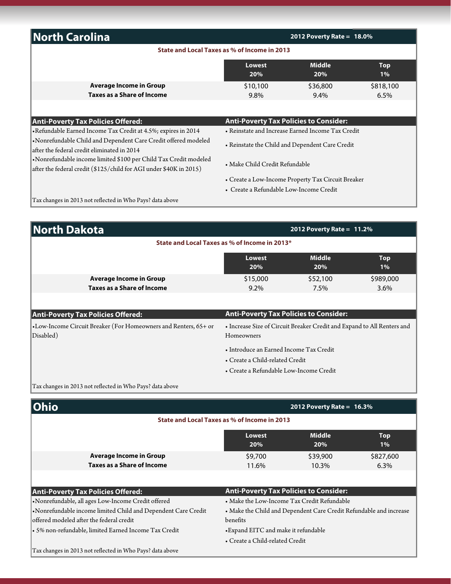| <b>North Carolina</b>                                                                                                                  |                                               | 2012 Poverty Rate = $18.0\%$                       |                     |
|----------------------------------------------------------------------------------------------------------------------------------------|-----------------------------------------------|----------------------------------------------------|---------------------|
|                                                                                                                                        | State and Local Taxes as % of Income in 2013  |                                                    |                     |
|                                                                                                                                        | <b>Lowest</b><br>20%                          | <b>Middle</b><br>20%                               | <b>Top</b><br>$1\%$ |
| <b>Average Income in Group</b><br><b>Taxes as a Share of Income</b>                                                                    | \$10,100<br>9.8%                              | \$36,800<br>$9.4\%$                                | \$818,100<br>6.5%   |
|                                                                                                                                        |                                               |                                                    |                     |
| <b>Anti-Poverty Tax Policies Offered:</b>                                                                                              | <b>Anti-Poverty Tax Policies to Consider:</b> |                                                    |                     |
| •Refundable Earned Income Tax Credit at 4.5%; expires in 2014                                                                          |                                               | • Reinstate and Increase Earned Income Tax Credit  |                     |
| •Nonrefundable Child and Dependent Care Credit offered modeled<br>after the federal credit eliminated in 2014                          |                                               | • Reinstate the Child and Dependent Care Credit    |                     |
| •Nonrefundable income limited \$100 per Child Tax Credit modeled<br>after the federal credit (\$125/child for AGI under \$40K in 2015) | • Make Child Credit Refundable                |                                                    |                     |
|                                                                                                                                        |                                               | • Create a Low-Income Property Tax Circuit Breaker |                     |
|                                                                                                                                        | • Create a Refundable Low-Income Credit       |                                                    |                     |
| Tax changes in 2013 not reflected in Who Pays? data above                                                                              |                                               |                                                    |                     |

| <b>North Dakota</b>                                             | 2012 Poverty Rate = $11.2\%$                                            |          |           |  |
|-----------------------------------------------------------------|-------------------------------------------------------------------------|----------|-----------|--|
|                                                                 | State and Local Taxes as % of Income in 2013*                           |          |           |  |
|                                                                 | <b>Middle</b><br>Lowest<br><b>Top</b><br>20%<br>20%<br>$1\%$            |          |           |  |
| <b>Average Income in Group</b>                                  | \$15,000                                                                | \$52,100 | \$989,000 |  |
| <b>Taxes as a Share of Income</b>                               | $9.2\%$                                                                 | 7.5%     | 3.6%      |  |
|                                                                 |                                                                         |          |           |  |
| <b>Anti-Poverty Tax Policies Offered:</b>                       | <b>Anti-Poverty Tax Policies to Consider:</b>                           |          |           |  |
| •Low-Income Circuit Breaker (For Homeowners and Renters, 65+ or | • Increase Size of Circuit Breaker Credit and Expand to All Renters and |          |           |  |
| Disabled)                                                       | Homeowners                                                              |          |           |  |
|                                                                 | • Introduce an Earned Income Tax Credit                                 |          |           |  |
|                                                                 | • Create a Child-related Credit                                         |          |           |  |
|                                                                 | • Create a Refundable Low-Income Credit                                 |          |           |  |
| Tax changes in 2013 not reflected in Who Pays? data above       |                                                                         |          |           |  |

| Ohio                                                                |                                               | 2012 Poverty Rate = $16.3\%$                                       |                     |
|---------------------------------------------------------------------|-----------------------------------------------|--------------------------------------------------------------------|---------------------|
|                                                                     | State and Local Taxes as % of Income in 2013  |                                                                    |                     |
|                                                                     | <b>Lowest</b><br>20%                          | <b>Middle</b><br>20%                                               | <b>Top</b><br>$1\%$ |
| <b>Average Income in Group</b><br><b>Taxes as a Share of Income</b> | \$9,700<br>11.6%                              | \$39,900<br>10.3%                                                  | \$827,600<br>6.3%   |
|                                                                     |                                               |                                                                    |                     |
| <b>Anti-Poverty Tax Policies Offered:</b>                           | <b>Anti-Poverty Tax Policies to Consider:</b> |                                                                    |                     |
| Nonrefundable, all ages Low-Income Credit offered                   |                                               | • Make the Low-Income Tax Credit Refundable                        |                     |
| •Nonrefundable income limited Child and Dependent Care Credit       |                                               | • Make the Child and Dependent Care Credit Refundable and increase |                     |
| offered modeled after the federal credit                            | benefits                                      |                                                                    |                     |
| • 5% non-refundable, limited Earned Income Tax Credit               | • Expand EITC and make it refundable          |                                                                    |                     |
|                                                                     | • Create a Child-related Credit               |                                                                    |                     |
| Tax changes in 2013 not reflected in Who Pays? data above           |                                               |                                                                    |                     |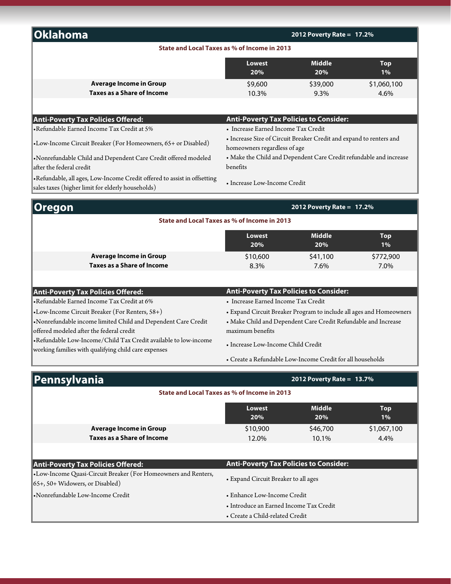| 2012 Poverty Rate = 17.2%                                                      |                      |                                                                                                                                                                                                                                                   |  |
|--------------------------------------------------------------------------------|----------------------|---------------------------------------------------------------------------------------------------------------------------------------------------------------------------------------------------------------------------------------------------|--|
|                                                                                |                      |                                                                                                                                                                                                                                                   |  |
| <b>Lowest</b><br>20%                                                           | <b>Middle</b><br>20% | <b>Top</b><br>$1\%$                                                                                                                                                                                                                               |  |
| \$9,600                                                                        | \$39,000             | \$1,060,100                                                                                                                                                                                                                                       |  |
| 10.3%                                                                          | 9.3%                 | 4.6%                                                                                                                                                                                                                                              |  |
|                                                                                |                      |                                                                                                                                                                                                                                                   |  |
|                                                                                |                      |                                                                                                                                                                                                                                                   |  |
| • Increase Earned Income Tax Credit                                            |                      |                                                                                                                                                                                                                                                   |  |
| • Increase Size of Circuit Breaker Credit and expand to renters and            |                      |                                                                                                                                                                                                                                                   |  |
| • Make the Child and Dependent Care Credit refundable and increase<br>benefits |                      |                                                                                                                                                                                                                                                   |  |
|                                                                                |                      |                                                                                                                                                                                                                                                   |  |
|                                                                                |                      |                                                                                                                                                                                                                                                   |  |
|                                                                                |                      |                                                                                                                                                                                                                                                   |  |
| Lowest                                                                         | <b>Middle</b>        | Top<br>1%                                                                                                                                                                                                                                         |  |
|                                                                                | 20%                  | State and Local Taxes as % of Income in 2013<br><b>Anti-Poverty Tax Policies to Consider:</b><br>homeowners regardless of age<br>• Increase Low-Income Credit<br>2012 Poverty Rate = 17.2%<br>State and Local Taxes as % of Income in 2013<br>20% |  |

•Refundable Low-Income/Child Tax Credit available to low-income working families with qualifying child care expenses

offered modeled after the federal credit

•Nonrefundable income limited Child and Dependent Care Credit

**Average Income in Group Taxes as a Share of Income**

• Create a Refundable Low-Income Credit for all households

• Make Child and Dependent Care Credit Refundable and Increase

\$10,600 \$41,100 \$772,900 8.3% 7.6% 7.0%

| Pennsylvania                                                                                              | 2012 Poverty Rate = $13.7\%$                  |                      |                     |
|-----------------------------------------------------------------------------------------------------------|-----------------------------------------------|----------------------|---------------------|
|                                                                                                           | State and Local Taxes as % of Income in 2013  |                      |                     |
|                                                                                                           | <b>Lowest</b><br>20%                          | <b>Middle</b><br>20% | <b>Top</b><br>1%    |
| <b>Average Income in Group</b><br>Taxes as a Share of Income                                              | \$10,900<br>12.0%                             | \$46,700<br>10.1%    | \$1,067,100<br>4.4% |
| <b>Anti-Poverty Tax Policies Offered:</b>                                                                 | <b>Anti-Poverty Tax Policies to Consider:</b> |                      |                     |
| •Low-Income Quasi-Circuit Breaker (For Homeowners and Renters,<br>$\vert$ 65+, 50+ Widowers, or Disabled) | • Expand Circuit Breaker to all ages          |                      |                     |
| •Nonrefundable Low-Income Credit                                                                          | • Enhance Low-Income Credit                   |                      |                     |
|                                                                                                           | • Introduce an Earned Income Tax Credit       |                      |                     |
|                                                                                                           | • Create a Child-related Credit               |                      |                     |

•Low-Income Circuit Breaker (For Renters, 58+) • Expand Circuit Breaker Program to include all ages and Homeowners

maximum benefits

• Increase Low-Income Child Credit

•Refundable Earned Income Tax Credit at 6% • Increase Earned Income Tax Credit

**Anti-Poverty Tax Policies Offered: Anti-Poverty Tax Policies to Consider:**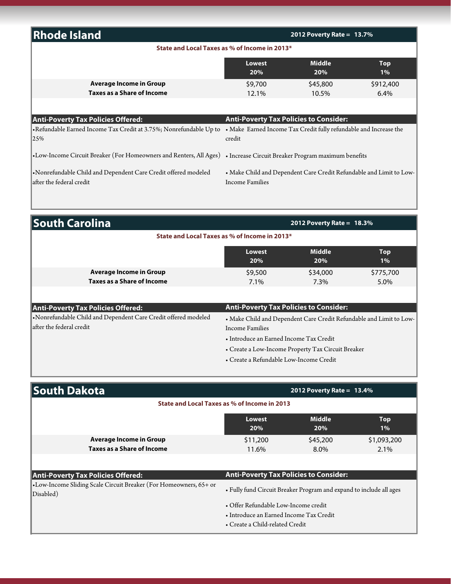| <b>Rhode Island</b>                                                                                                     |                                                         | 2012 Poverty Rate = $13.7\%$                                        |                     |
|-------------------------------------------------------------------------------------------------------------------------|---------------------------------------------------------|---------------------------------------------------------------------|---------------------|
| State and Local Taxes as % of Income in 2013*                                                                           |                                                         |                                                                     |                     |
|                                                                                                                         | Lowest<br>20%                                           | <b>Middle</b><br>20%                                                | <b>Top</b><br>$1\%$ |
| <b>Average Income in Group</b><br><b>Taxes as a Share of Income</b>                                                     | \$9,700<br>12.1%                                        | \$45,800<br>10.5%                                                   | \$912,400<br>6.4%   |
|                                                                                                                         |                                                         |                                                                     |                     |
| <b>Anti-Poverty Tax Policies Offered:</b><br>• Refundable Earned Income Tax Credit at 3.75%; Nonrefundable Up to<br>25% | <b>Anti-Poverty Tax Policies to Consider:</b><br>credit | • Make Earned Income Tax Credit fully refundable and Increase the   |                     |
| •Low-Income Circuit Breaker (For Homeowners and Renters, All Ages) • Increase Circuit Breaker Program maximum benefits  |                                                         |                                                                     |                     |
| • Nonrefundable Child and Dependent Care Credit offered modeled<br>after the federal credit                             | Income Families                                         | • Make Child and Dependent Care Credit Refundable and Limit to Low- |                     |

| <b>South Carolina</b>                                                                      | 2012 Poverty Rate = $18.3\%$ |                                               |                                                                     |  |
|--------------------------------------------------------------------------------------------|------------------------------|-----------------------------------------------|---------------------------------------------------------------------|--|
| State and Local Taxes as % of Income in 2013*                                              |                              |                                               |                                                                     |  |
|                                                                                            | Lowest<br>20%                | <b>Middle</b><br>20%                          | <b>Top</b><br>$1\%$                                                 |  |
| Average Income in Group<br><b>Taxes as a Share of Income</b>                               | \$9,500<br>7.1%              | \$34,000<br>7.3%                              | \$775,700<br>5.0%                                                   |  |
|                                                                                            |                              |                                               |                                                                     |  |
| <b>Anti-Poverty Tax Policies Offered:</b>                                                  |                              | <b>Anti-Poverty Tax Policies to Consider:</b> |                                                                     |  |
| Nonrefundable Child and Dependent Care Credit offered modeled<br>lafter the federal credit | Income Families              |                                               | • Make Child and Dependent Care Credit Refundable and Limit to Low- |  |

| oinciunuable Clinu and Dependent Care Creuit oncleu inoucleu | . Make Uniid and Dependent Care Credit Refundable and Limit to Lo |
|--------------------------------------------------------------|-------------------------------------------------------------------|
| er the federal credit                                        | Income Families                                                   |
|                                                              | • Introduce an Earned Income Tax Credit                           |
|                                                              | • Create a Low-Income Property Tax Circuit Breaker                |
|                                                              | • Create a Refundable Low-Income Credit                           |

| <b>South Dakota</b>                                                            |                                                                                 | 2012 Poverty Rate = $13.4\%$ |                     |
|--------------------------------------------------------------------------------|---------------------------------------------------------------------------------|------------------------------|---------------------|
|                                                                                | State and Local Taxes as % of Income in 2013                                    |                              |                     |
|                                                                                | <b>Lowest</b><br>20%                                                            | <b>Middle</b><br>20%         | <b>Top</b><br>$1\%$ |
| <b>Average Income in Group</b><br><b>Taxes as a Share of Income</b>            | \$11,200<br>11.6%                                                               | \$45,200<br>8.0%             | \$1,093,200<br>2.1% |
| <b>Anti-Poverty Tax Policies Offered:</b>                                      | <b>Anti-Poverty Tax Policies to Consider:</b>                                   |                              |                     |
| •Low-Income Sliding Scale Circuit Breaker (For Homeowners, 65+ or<br>Disabled) | • Fully fund Circuit Breaker Program and expand to include all ages             |                              |                     |
|                                                                                | • Offer Refundable Low-Income credit<br>• Introduce an Earned Income Tax Credit |                              |                     |

• Create a Child-related Credit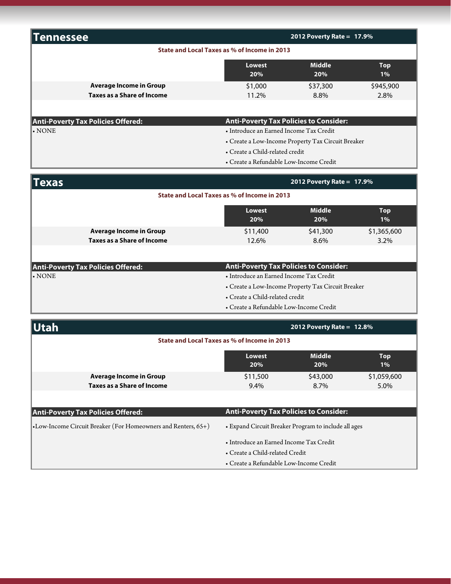| Tennessee                                    |                                              |                                                    | 2012 Poverty Rate = $17.9\%$      |             |  |  |
|----------------------------------------------|----------------------------------------------|----------------------------------------------------|-----------------------------------|-------------|--|--|
|                                              | State and Local Taxes as % of Income in 2013 |                                                    |                                   |             |  |  |
|                                              |                                              | <b>Lowest</b><br>20%                               | <b>Middle</b><br>Top<br>20%<br>1% |             |  |  |
|                                              | <b>Average Income in Group</b>               | \$1,000                                            | \$37,300                          | \$945,900   |  |  |
|                                              | <b>Taxes as a Share of Income</b>            | 11.2%                                              | 8.8%                              | 2.8%        |  |  |
|                                              |                                              |                                                    |                                   |             |  |  |
|                                              | <b>Anti-Poverty Tax Policies Offered:</b>    | <b>Anti-Poverty Tax Policies to Consider:</b>      |                                   |             |  |  |
| . <b>NOTE</b>                                |                                              | · Introduce an Earned Income Tax Credit            |                                   |             |  |  |
|                                              |                                              | • Create a Low-Income Property Tax Circuit Breaker |                                   |             |  |  |
|                                              |                                              | • Create a Child-related credit                    |                                   |             |  |  |
|                                              |                                              | • Create a Refundable Low-Income Credit            |                                   |             |  |  |
| <b>Texas</b>                                 |                                              |                                                    | 2012 Poverty Rate = 17.9%         |             |  |  |
| State and Local Taxes as % of Income in 2013 |                                              |                                                    |                                   |             |  |  |
|                                              |                                              | <b>Lowest</b>                                      | <b>Middle</b>                     | Top         |  |  |
|                                              |                                              | 20%                                                | 20%                               | $1\%$       |  |  |
|                                              | <b>Average Income in Group</b>               | \$11,400                                           | \$41,300                          | \$1,365,600 |  |  |
|                                              | <b>Taxes as a Share of Income</b>            | 12.6%                                              | 8.6%                              | 3.2%        |  |  |
|                                              |                                              |                                                    |                                   |             |  |  |
|                                              | <b>Anti-Poverty Tax Policies Offered:</b>    | <b>Anti-Poverty Tax Policies to Consider:</b>      |                                   |             |  |  |
| $\boldsymbol{\cdot}$ NONE                    |                                              | • Introduce an Earned Income Tax Credit            |                                   |             |  |  |
|                                              |                                              | • Create a Low-Income Property Tax Circuit Breaker |                                   |             |  |  |
|                                              |                                              | • Create a Child-related credit                    |                                   |             |  |  |
|                                              |                                              | · Create a Refundable Low-Income Credit            |                                   |             |  |  |
| <b>Utah</b>                                  |                                              |                                                    | 2012 Poverty Rate = $12.8\%$      |             |  |  |
|                                              |                                              | State and Local Taxes as % of Income in 2013       |                                   |             |  |  |
|                                              |                                              | Lowest                                             | <b>Middle</b>                     | Top         |  |  |
|                                              |                                              | 20%                                                | 20%                               | $1\%$       |  |  |
|                                              | <b>Average Income in Group</b>               | \$11,500                                           | \$43,000                          | \$1,059,600 |  |  |
|                                              | <b>Taxes as a Share of Income</b>            | 9.4%                                               | 8.7%                              | 5.0%        |  |  |
|                                              |                                              |                                                    |                                   |             |  |  |

| <b>Anti-Poverty Tax Policies Offered:</b>                        | Anti-Poverty Tax Policies to Consider:               |
|------------------------------------------------------------------|------------------------------------------------------|
| •Low-Income Circuit Breaker (For Homeowners and Renters, $65+$ ) | • Expand Circuit Breaker Program to include all ages |
|                                                                  | • Introduce an Earned Income Tax Credit              |
|                                                                  | • Create a Child-related Credit                      |
|                                                                  | • Create a Refundable Low-Income Credit              |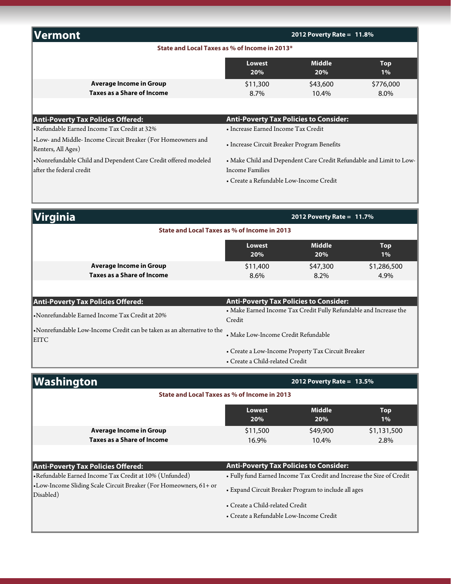| Vermont                                    |                                               | 2012 Poverty Rate = $11.8\%$ |                  |
|--------------------------------------------|-----------------------------------------------|------------------------------|------------------|
|                                            | State and Local Taxes as % of Income in 2013* |                              |                  |
|                                            | Lowest<br>20%                                 | <b>Middle</b><br>20%         | <b>Top</b><br>1% |
| Average Income in Group                    | \$11,300                                      | \$43,600                     | \$776,000        |
| <b>Taxes as a Share of Income</b>          | 8.7%                                          | $10.4\%$                     | 8.0%             |
|                                            |                                               |                              |                  |
| <b>Anti-Poverty Tax Policies Offered:</b>  | <b>Anti-Poverty Tax Policies to Consider:</b> |                              |                  |
| Refundable Earned Income Tax Credit at 32% | • Increase Earned Income Tax Credit           |                              |                  |

•Low- and Middle- Income Circuit Breaker (For Homeowners and • Low- and Middle- Income Circuit Breaker (101 Tiomeowners and<br>Renters, All Ages)

•Nonrefundable Child and Dependent Care Credit offered modeled after the federal credit

• Make Child and Dependent Care Credit Refundable and Limit to Low-Income Families

• Create a Refundable Low-Income Credit

| <b>Virginia</b>                                                                                | 2012 Poverty Rate = $11.7\%$                            |                                                                   |                     |
|------------------------------------------------------------------------------------------------|---------------------------------------------------------|-------------------------------------------------------------------|---------------------|
|                                                                                                | State and Local Taxes as % of Income in 2013            |                                                                   |                     |
|                                                                                                | <b>Lowest</b><br>20%                                    | <b>Middle</b><br>20%                                              | <b>Top</b><br>1%    |
| <b>Average Income in Group</b><br><b>Taxes as a Share of Income</b>                            | \$11,400<br>$8.6\%$                                     | \$47,300<br>8.2%                                                  | \$1,286,500<br>4.9% |
| <b>Anti-Poverty Tax Policies Offered:</b><br>•Nonrefundable Earned Income Tax Credit at 20%    | <b>Anti-Poverty Tax Policies to Consider:</b><br>Credit | • Make Earned Income Tax Credit Fully Refundable and Increase the |                     |
| $\bullet$ Nonrefundable Low-Income Credit can be taken as an alternative to the<br><b>EITC</b> | • Make Low-Income Credit Refundable                     |                                                                   |                     |
|                                                                                                | • Create a Child-related Credit                         | • Create a Low-Income Property Tax Circuit Breaker                |                     |
| Washington                                                                                     |                                                         | 2012 Poverty Rate = $13.5\%$                                      |                     |
|                                                                                                | State and Local Taxes as % of Income in 2013            |                                                                   |                     |
|                                                                                                |                                                         |                                                                   |                     |

|                                   | Lowest<br>20% | <b>Middle</b><br>20% | Top<br>1%   |
|-----------------------------------|---------------|----------------------|-------------|
| Average Income in Group           | \$11,500      | \$49,900             | \$1,131,500 |
| <b>Taxes as a Share of Income</b> | 16.9%         | 10.4%                | 2.8%        |
|                                   |               |                      |             |

| <b>Anti-Poverty Tax Policies Offered:</b>                                      | <b>Anti-Poverty Tax Policies to Consider:</b>                         |
|--------------------------------------------------------------------------------|-----------------------------------------------------------------------|
| • Refundable Earned Income Tax Credit at 10% (Unfunded)                        | • Fully fund Earned Income Tax Credit and Increase the Size of Credit |
| •Low-Income Sliding Scale Circuit Breaker (For Homeowners, 61+ or<br>Disabled) | • Expand Circuit Breaker Program to include all ages                  |
|                                                                                | • Create a Child-related Credit                                       |
|                                                                                | • Create a Refundable Low-Income Credit                               |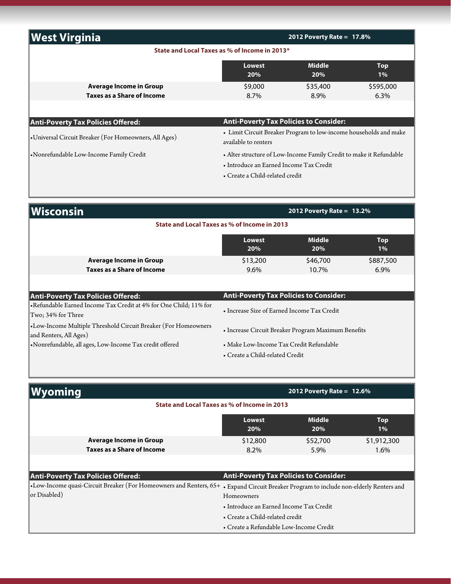| <b>West Virginia</b>                                         | 2012 Poverty Rate = $17.8%$                                                                                                                       |                      |                      |
|--------------------------------------------------------------|---------------------------------------------------------------------------------------------------------------------------------------------------|----------------------|----------------------|
|                                                              | State and Local Taxes as % of Income in 2013*                                                                                                     |                      |                      |
|                                                              | Lowest<br>20%                                                                                                                                     | <b>Middle</b><br>20% | <b>Top</b><br>1%     |
| <b>Average Income in Group</b><br>Taxes as a Share of Income | \$9,000<br>8.7%                                                                                                                                   | \$35,400<br>8.9%     | \$595,000<br>$6.3\%$ |
| <b>Anti-Poverty Tax Policies Offered:</b>                    | <b>Anti-Poverty Tax Policies to Consider:</b>                                                                                                     |                      |                      |
| •Universal Circuit Breaker (For Homeowners, All Ages)        | • Limit Circuit Breaker Program to low-income households and make<br>available to renters                                                         |                      |                      |
| •Nonrefundable Low-Income Family Credit                      | • Alter structure of Low-Income Family Credit to make it Refundable<br>• Introduce an Earned Income Tax Credit<br>• Create a Child-related credit |                      |                      |

| <b>Wisconsin</b>                                                                         | 2012 Poverty Rate = $13.2\%$                                               |                      |                      |  |
|------------------------------------------------------------------------------------------|----------------------------------------------------------------------------|----------------------|----------------------|--|
| State and Local Taxes as % of Income in 2013                                             |                                                                            |                      |                      |  |
|                                                                                          | <b>Lowest</b><br>20%                                                       | <b>Middle</b><br>20% | <b>Top</b><br>1%     |  |
| <b>Average Income in Group</b><br><b>Taxes as a Share of Income</b>                      | \$13,200<br>$9.6\%$                                                        | \$46,700<br>10.7%    | \$887,500<br>$6.9\%$ |  |
| <b>Anti-Poverty Tax Policies Offered:</b>                                                | <b>Anti-Poverty Tax Policies to Consider:</b>                              |                      |                      |  |
| • Refundable Earned Income Tax Credit at 4% for One Child; 11% for<br>Two: 34% for Three | • Increase Size of Earned Income Tax Credit                                |                      |                      |  |
| •Low-Income Multiple Threshold Circuit Breaker (For Homeowners<br>and Renters, All Ages) | • Increase Circuit Breaker Program Maximum Benefits                        |                      |                      |  |
| •Nonrefundable, all ages, Low-Income Tax credit offered                                  | • Make Low-Income Tax Credit Refundable<br>• Create a Child-related Credit |                      |                      |  |

| yoming                                       |                                                                     |                                                                     | 2012 Poverty Rate = $12.6\%$ |                     |
|----------------------------------------------|---------------------------------------------------------------------|---------------------------------------------------------------------|------------------------------|---------------------|
| State and Local Taxes as % of Income in 2013 |                                                                     |                                                                     |                              |                     |
|                                              |                                                                     | Lowest<br>20%                                                       | <b>Middle</b><br>20%         | <b>Top</b><br>$1\%$ |
|                                              | <b>Average Income in Group</b><br><b>Taxes as a Share of Income</b> | \$12,800<br>$8.2\%$                                                 | \$52,700<br>5.9%             | \$1,912,300<br>1.6% |
|                                              |                                                                     |                                                                     |                              |                     |
| <b>Anti-Poverty Tax Policies Offered:</b>    |                                                                     | <b>Anti-Poverty Tax Policies to Consider:</b>                       |                              |                     |
|                                              | •Low-Income quasi-Circuit Breaker (For Homeowners and Renters, 65+  | • Expand Circuit Breaker Program to include non-elderly Renters and |                              |                     |
| or Disabled)                                 |                                                                     | Homeowners                                                          |                              |                     |
|                                              |                                                                     | • Introduce an Earned Income Tax Credit                             |                              |                     |
|                                              |                                                                     | • Create a Child-related credit                                     |                              |                     |
|                                              |                                                                     | • Create a Refundable Low-Income Credit                             |                              |                     |